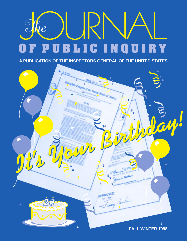# The  $\bigodot$ **PUBLICINQUI** RY F

**A PUBLICATION OF THE INSPECTORS GENERAL OF THE UNITED STATES**

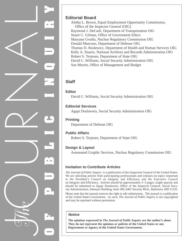

## **Editorial Board**

Aletha L. Brown, Equal Employment Opportunity Commission, Office of the Inspector General (OIG) Raymond J. DeCarli, Department of Transportation OIG Stuart C. Gilman, Office of Government Ethics Maryann Grodin, Nuclear Regulatory Commission OIG Donald Mancuso, Department of Defense OIG Thomas D. Roslewicz, Department of Health and Human Services OIG Kelly A. Sisario, National Archives and Records Administration OIG Robert S. Terjesen, Department of State OIG David C. Williams, Social Security Administration OIG Sue Murrin, Office of Management and Budget

## **Staff**

### **Editor**

David C. Williams, Social Security Administration OIG

## **Editorial Services**

Agapi Doulaveris, Social Security Administration OIG

## **Printing**

Department of Defense OIG

## **Public Affairs**

Robert S. Terjesen, Department of State OIG

## **Design & Layout**

Automated Graphic Services, Nuclear Regulatory Commission OIG

## **Invitation to Contribute Articles**

*The Journal of Public Inquiry* is a publication of the Inspectors General of the United States. We are soliciting articles from participating professionals and scholars on topics important to the President's Council on Integrity and Efficiency and the Executive Council on Integrity and Efficiency. Articles should be approximately 3–5 pages, single-spaced, and should be submitted to Agapi Doulaveris, Office of the Inspector General, Social Security Administration, Altmeyer Building, Suite 300, 6401 Security Blvd., Baltimore, MD 21235.

Please note that the journal reserves the right to edit submissions. The journal is a publication of the United States Government. As such, *The Journal of Public Inquiry* is not copyrighted and may be reprinted without permission.

## **Notice**

**The opinions expressed in** *The Journal of Public Inquiry* **are the author's alone. They do not represent the opinions or policies of the United States or any Department or Agency of the United States Government.**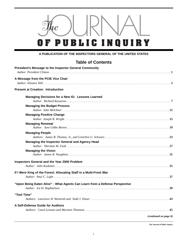

#### **A PUBLICATION OF THE INSPECTORS GENERAL OF THE UNITED STATES**

## **Table of Contents**

| President's Message to the Inspector General Community                                                                                                                                                                                               |
|------------------------------------------------------------------------------------------------------------------------------------------------------------------------------------------------------------------------------------------------------|
| A Message from the PCIE Vice Chair<br>Author: Eleanor Hill, $\ldots$ , $\ldots$ , $\ldots$ , $\ldots$ , $\ldots$ , $\ldots$ , $\ldots$ , $\ldots$ , $\ldots$ , $\ldots$ , $\ldots$ , $\ldots$ , $\ldots$ , $\ldots$ , $\ldots$ , $\ldots$ , $\ldots$ |
| <b>Present at Creation: Introduction</b>                                                                                                                                                                                                             |
| Managing Decisions for a New IG: Lessons Learned                                                                                                                                                                                                     |
|                                                                                                                                                                                                                                                      |
| <b>Managing the Budget Process</b>                                                                                                                                                                                                                   |
|                                                                                                                                                                                                                                                      |
| <b>Managing Positive Change</b>                                                                                                                                                                                                                      |
|                                                                                                                                                                                                                                                      |
| <b>Managing Renewal</b>                                                                                                                                                                                                                              |
| <b>Managing People</b>                                                                                                                                                                                                                               |
|                                                                                                                                                                                                                                                      |
| Managing the Inspector General and Agency Head                                                                                                                                                                                                       |
| <b>Managing the Vision</b>                                                                                                                                                                                                                           |
| Inspectors General and the Year 2000 Problem                                                                                                                                                                                                         |
|                                                                                                                                                                                                                                                      |
| If I Were King of the Forest: Allocating Staff in a Multi-Front War                                                                                                                                                                                  |
|                                                                                                                                                                                                                                                      |
| "Upon Being Eaten Alive" - What Agents Can Learn from a Defense Perspective                                                                                                                                                                          |
| "Tool Time"                                                                                                                                                                                                                                          |
|                                                                                                                                                                                                                                                      |
| A Self-Defense Guide for Auditors                                                                                                                                                                                                                    |
|                                                                                                                                                                                                                                                      |
| (continued on page ii)                                                                                                                                                                                                                               |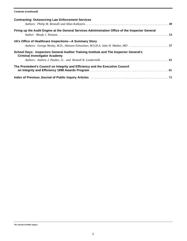#### *Contents (continued)*

| <b>Contracting: Outsourcing Law Enforcement Services</b>                                                                                  |  |
|-------------------------------------------------------------------------------------------------------------------------------------------|--|
| Firing up the Audit Engine at the General Services Administration Office of the Inspector General                                         |  |
| VA's Office of Healthcare Inspections-A Summary Story<br>Authors: George Wesley, M.D., Alanson Schweitzer, M.S.H.A, John H. Mather, MD 57 |  |
| School Days: Inspectors General Auditor Training Institute and The Inspector General's<br><b>Criminal Investigator Academy</b>            |  |
|                                                                                                                                           |  |
| The Presiedent's Council on Integrity and Efficiency and the Executive Council                                                            |  |
| Index of Previous Journal of Public Inquiry Articles Mathematic Mathematic Care and Previous Journal of Public                            |  |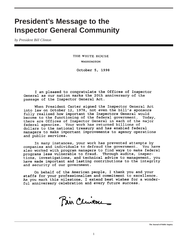## **President's Message to the Inspector General Community**

*by President Bill Clinton*

THE WHITE HOUSE **WASHINGTON** 

October 5, 1998

I am pleased to congratulate the Offices of Inspector General as our nation marks the 20th anniversary of the passage of the Inspector General Act.

When President Carter signed the Inspector General Act into law on October 12, 1978, not even the bill's sponsors fully realized how important the Inspectors General would<br>become to the functioning of the federal government. Toda Today, there are Offices of Inspector General in each of the major federal agencies. Your work has returned billions of dollars to the national treasury and has enabled federal managers to make important improvements to agency operations and public services.

In many instances, your work has prevented attempts by companies and individuals to defraud the government. You have also worked with program managers to find ways to make federal programs less vulnerable to fraud. Through audits, inspections, investigations, and technical advice to management, you have made important and lasting contributions to the integrity and security of our government.

On behalf of the American people, I thank you and your staffs for your professionalism and commitment to excellence. As you mark this milestone, I extend best wishes for a wonderful anniversary celebration and every future success.

Pair Cluton \_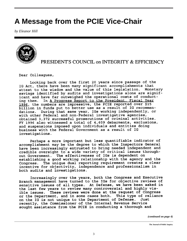# **A Message from the PCIE Vice-Chair**

*by Eleanor Hill*



PRESIDENT'S COUNCIL on INTEGRITY & EFFICIENCY

Dear Colleagues,

Looking back over the first 20 years since passage of the IG Act, there have been many significant accomplishments that attest to the wisdom and the value of this legislation. Monetary savings identified by audits and investigations alone are significant and have far outweighed the operational costs of conduct-In A Progress Report to the President, Fiscal Year ing them. 1996, the numbers are impressive, the PCIE reported over \$15 billion in funds put to better use as a result of IG recommendations. During that same year, IGs working independently, or with other Federal and non-Federal investigative agencies, obtained 3,372 successful prosecutions of criminal activities. FY 1996 also witnessed a total of 4,609 debarments, exclusions, and suspensions imposed upon individuals and entities doing business with the Federal Government as a result of IG investigations.

Perhaps a more important but less quantifiable indicator of accomplishment may be the degree to which the Inspectors General have been increasingly entrusted to bring needed independent and credible oversight to a wide variety of critical issues throughout Government. The effectiveness of IGs is dependent on establishing a good working relationship with the agency and the The unique dual reporting requirement creates a clear Congress. incentive for objectivity, independence and professionalism in both audits and investigations.

Increasingly over the years, both the Congress and Executive Branch management have turned to the IGs for objective reviews of sensitive issues of all types. At Defense, we have been asked in the last few years to review many controversial and highly visible issues. These reviews were done at the request of Congress or the Department, and in some cases both. This type of reliance on the IG is not unique to the Department of Defense. Just recently, the Commissioner of the Internal Revenue Service sought assistance from the PCIE in conducting a thorough and

*(continued on page 4)*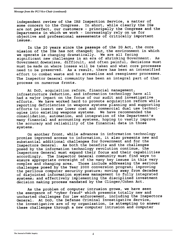#### *Message from the PCI Vice-Chair (continued)*

independent review of the IRS Inspection Service, a matter of some concern to the Congress. In short, while clearly the IGs are not perfect, our customers - principally the Congress and the Departments in which we work - increasingly rely on us for objective and professional assessments of critically important issues.

In the 20 years since the passage of the IG Act, the core mission of the IGs has not changed; but, the environment in which we operate is changing dramatically. We are all facing significant new challenges in an era of shrinking Government. As Government downsizes, difficult, and often painful, decisions must must be made on where losses will be taken and what core processes need to be preserved. As a result, there has been an intensified effort to combat waste and to streamline and reengineer processes. The Inspector General community has been an integral part of that process on numerous fronts.

At DoD, acquisition reform, financial management, infrastructure reduction, and information technology have all had a major impact on the focus of our audit and investigative efforts. We have worked hard to promote acquisition reform while reporting deficiencies in weapons systems planning and supporting efforts to insert new lower cost and commercial dual use technologies into existing weapons systems. We have recommended the consolidation, automation, and integration of the Department's many financial and accounting systems, hoping to vastly improve the accuracy and reliability of the financial data in those systems.

On another front, while advances in information technology promise improved access to information, it also presents new and substantial additional challenges for Government and for the Inspectors General. As both the benefits and the challenges posed by the information technology revolution continue, the Inspectors General must expand their focus and their capabilities accordingly. The Inspector General community must find ways to ensure appropriate oversight of the many key issues in this very complex and changing area. Those include addressing the serious challenges posed by the Year 2000 conversion program; improving the perilous computer security posture; moving away from decades of disjointed information systems management to fully integrated systems; and effectively implementing the disciplined investment decision making process mandated by the Clinger/Cohen Act.

As the problem of computer intrusion grows, we have seen the emergence of "cyber fraud" which presents totally new and uncharted challenges for law enforcement, including the Inspectors General. At DoD, the Defense Criminal Investigative Service, the investigative arm of my organization, is attempting to answer these challenges through a new computer intrusion and computer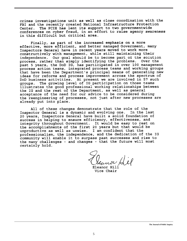crimes investigations unit as well as close coordination with the FBI and the recently created National Infrastructure Protection Center. The PCIE has lent its support to two governmentwide conferences on cyber fraud, in an effort to raise agency awareness in this difficult but critical area.

Finally, as part of the increased emphasis on a more effective, more efficient, and better managed Government, many Inspectors General have in recent years moved to work more constructively with management, while still maintaining their independence. Our goal should be to become part of the solution process, rather than simply identifying the problems. Over the past 5 years, the DoD IG, has participated in over 100 management process action teams, integrated process teams and working groups that have been the Department's principal means of generating new ideas for reforms and process improvement across the spectrum of DoD business activities. At present we are involved in 57 such groups. The growing level of IG participation on those teams illustrates the good professional working relationships between the IG and the rest of the Department, as well as general acceptance of the need for our advice to be considered during the reengineering of processes, not just after new processes are already put into place.

All of these changes demonstrate that the role of the Inspector General is a dynamic and evolving one. In the last 20 years, Inspectors General have built a solid foundation of success in helping to ensure efficiency, effectiveness, and integrity throughout Government. It would be easy to rest on<br>the accomplishments of the first 20 years but that would be unproductive as well as unwise. I am confident that the professionalism, the independence, and the dedication of the IG community will enable it to surpass past successes and rise to the many challenges - and changes - that the future will most certainly hold.

Eleanor Hill Vice Chair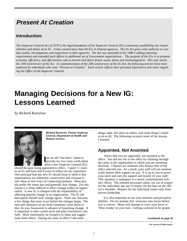## **Present At Creation**

## **Introduction:**

*The Inspector General Act of 1978 is the legal foundation of the Inspector General (IG) community establishing the responsibilities and duties of an IG. It has created more than 60 IGs in Federal agencies. The IG Act gives wide authority to conduct audits, investigations and inspections in their agencies. The Act was amended in the 1980's adding reporting requirements and extended such offices to additional set of Government organizations. The purpose of the IGs is to promote economy, efficiency, and effectiveness and to prevent and detect fraud, waste, abuse and mismanagement. This year marks the 20th anniversary of the Act. In commemoration of the 20th anniversary of the IG Act, the following articles have been authored by individuals who were "Present at Creation." Each article reflects their personal experiences and views regarding the Office of the Inspector General.*

# **Managing Decisions for a New IG: Lessons Learned**

*by Richard Kusserow*



*Richard Kusserow, Former Inspector General, Department of Health and Human Services*

am an old "has-been" asked to<br>provide my two cents worth about am an old "has-been" asked to what a new Inspector General (IG)

should do upon being appointed to office. I spent 11 years as an IG and have had 6 years to reflect on my experience. One principal that any new IG should keep in mind is that organizations are inherently conservative and resistant to new ideas or new ways of conducting business. Most people prefer the status quo and generally fear change. For this reason it is often difficult to affect change within an organization. A new IG is charged with the responsibility of affecting positive change in an organization. The IG job description should read 'change agent.' There are, however, a few things that must occur before the changes begin. The sum and substance of my brief comments come down to this: do your homework in advance of launching change. It is important to take careful stock and plan innovations carefully. More importantly, be receptive to ideas and suggestions from others. During my years in office I did some

things right, fell short on others, and some things I failed to do at all. The following recounts some of the lessons I learned.

## **Appointed, Not Anointed**

Know that you are appointed, not anointed to the office. You did not rise to the office by climbing through the ranks in the organization in which you are assuming direction. Chances are someone who knows little of the office selected you. As a result, your staff will not automatically bestow their support on you. It is up to you to prove your merit and earn the support and loyalty of your staff. This situation is analogous to a newly commissioned military officer. The enlisted personnel salute, not out of respect for the individual, but out of respect for the bars on the officer's shoulder. Respect for the individual comes only from proven leadership.

It is also important to use your instincts and perceptive abilities. Do not assume that everyone who fawns before you is sincere. Many will attempt to curry your favor or 'blow smoke' in your eyes. Getting suckered in by people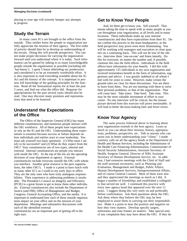playing to your ego will severely hamper any attempts at progress.

## **Study the Terrain**

In many cases IG's are brought to the office from the outside. They neither know the people or organization nor fully appreciate the mission of their agency. The first order of priority should then be to develop an understanding of the terrain. Doing this will provide perspective. You cannot make proper decisions for carrying the organization forward until you understand where it is today. Such information can be gained by talking to as many knowledgeable people outside the organization as possible (including old 'has-beens'). I spent 5 hours debriefing my predecessor and considered it to be an extremely worthwhile effort. It is also important to read everything available about the IG Act and the history of the concept. It is important to possess full knowledge of the guiding principles for the function. Read all the Semiannual reports for at least the past 5 years, and find out what the office did. Requests for appropriations for the past several years should also be read. One may discover many promises and representations that need to be honored.

## **Understand the Expectations of the Office**

The Office of the Inspector General (OIG) has many different constituencies, and numerous people interact with the OIG workforce. All of these people have expectations or rely on the IG and the OIG. Understanding these expectations is essential because success or failure depends on how individuals and entities react to your leadership. You must ask yourself two basic questions: (1) Who must I satisfy to be successful? and (2) What do they expect from the OIG? Your constituencies are of two types, internal and external. Internal constituencies are people you interact with inside the OIG. At the top of the list are the operating divisions of your department or agency. External constituencies include everyone outside the OIG with whom you interface. Another great resource is the peer organizations, the other OIG's. I made it a point to have lunch with as many other IG's as I could in my early days in office. They are the only ones who have truly analogous responsibilities. Their experience in addressing problems is invaluable. The President's Council on Integrity and Efficiency (PCIE) is a great forum to get to know these other individuals. External constituencies also include the Department of Justice (and FBI), Office of Management and Budget, Congress, General Accounting Office, and the media. It is important to understand how each of these outside organizations impact on your office and on the mission of your department. Meetings and substantive discussions with each of the identified external

constituencies are an important part of getting off to the right start.

## **Get to Know Your People**

And, let them get to know you. Sell yourself. That means taking the time to speak with as many people as you can throughout your organization, at all levels and in many locations. These individuals make up your internal constituencies and they have expectations from their IG. Do not confine this process to the main headquarters, as the field perspective may prove even more illuminating. You will be working with managers and executives in close quarters on a continuing basis. This will not be true of the others. Interview them 'one-on-one' and listen intently. Do this for everyone, no matter the number and, if possible, continue this into the field offices. Individuals in the field offices have information for your benefit. I did this with approximately 125 individuals in my own organization and received tremendous benefit in the form of information, suggestions and advice. I was greatly indebted to all whom I met with for years to come. However, make certain the ground rules are clear for these discussions. You are there to learn from them. You are not meeting with them to solve their personal problems, or that of the organization. That will come later. Take notes. Take heed. Take time. This may be the most valuable investment of effort in your career. No one interview will be critical, but the mosaic picture derived from this exercise will prove inestimable. It will lead to better decision-making later and fewer errors.

## **Know Your Agency**

The same process followed above in learning about your organization extends to the host agency. Learn as much as you can about their mission, history, appropriations, problems, perspective, etc. Talk to anyone who can assist you in better understanding your "client." I made courtesy calls on all the agency heads at the Department of Health and Human Services, including the Administrator of the Health Care Financing Administration, Commissioner of Social Security Administration, Assistant Secretary of Health, Surgeon General, Director of NIH, Assistant Secretary of Human Development Service, etc. In addition, I had extensive meetings with the Chief of Staff and the staff assistant secretaries, such as Planning and Evaluation, Management and Budget, Public Affairs, Human Development Services, Intergovernmental Affairs, and of course General Counsel. Most of them were new and they appreciated the meetings as much as I did. It began a number of friendships and established a collegiality that served me well. I continued this practice with every new agency head that appeared over the next 11 years. I suggest doing this very early on and preferably before confirmation. Ask them questions about the OIG. Ask them where they believe the OIG may be best employed to assist them in carrying out their responsibilities. Make it a point to hear the positive and negative on how they view matters. Develop specific targets, milestones and time frames on matters. Take special note of any complaints they may have about the OIG. If they do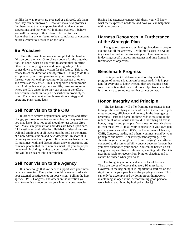not like the way reports are prepared or delivered, ask them how they can be improved. However, make few promises. Let them know that you appreciate their advice, counsel, suggestions, and that you will look into matters. I believe you will find many of their ideas to be meritorious. Remember it is always better to hear complaints or concerns before a contentious issue is on the table.

### **Be Proactive**

Once the basic homework is completed, the burden falls on you, the new IG, to chart a course for the organization. In short, what do you want to accomplish in office, other than occupying space and drawing salary. This comes down to creating a vision for the future. This is necessary to set the direction and objectives. Failing to do this will prevent you from operating on your own agenda. Instead, you will end up reacting to the agenda of others and events as they arise. This is dangerous and unproductive. And the leadership, rank and file, deserves to know where the IG's vision is so they can assist in the effort. Your course should initially be described in broad objectives. The whole detailed implementation strategy and operating plans come later.

## **Sell Your Vision to the OIG**

In order to achieve organizational objectives and affect change, your own organization must buy into any new ideas you may have. It is not good enough to just dictate direction. Make sure your vision and ideas are based upon careful investigation and reflection. Half-baked ideas do not sell well and employees at all levels must be sold on the merits of a new administration and new viewpoint. In short, it is necessary to have their support. It is necessary because the IG must meet with and discuss ideas, answer questions, and convince people that the vision has merit. If you do proper homework, including talking to your constituencies, then this will be an easier job to accomplish.

### **Sell Your Vision to the Agency**

It is not enough that you secure support with your internal constituencies. Every effort should be made to educate your external constituencies on your vision. Selling the host agency, OMB, Congress, and others on the direction you wish to take is as important as your internal constituencies.

Having had extensive contact with them, you will know what their expressed needs are and how you can help them with your program.

## **Harness Resources in Furtherance of the Strategic Plan**

The greatest resource to achieving objectives is people. No one has all the answers. Let the staff assist in developing ideas that further the strategic plan. Use them to assist in devising specific targets, milestones and time frames in furtherance of objectives.

## **Benchmark Progress**

It is important to determine methods by which the progress of an organization can be measured. It is important for everyone to know whether they are making headway. It is critical that these milestone objectives be realistic. It is not wise to set objectives that cannot be met.

## **Honor, Integrity and Principle**

The last lesson I will offer from my experience is not to forget the underlying mission of the OIG which is to promote economy, efficiency and honesty in the host agency programs. Part and parcel to these ends is assisting in the reduction of waste, abuse and fraud. Underlying all this is honor, integrity and principle. You must not just talk about it. You must live it. In all your contacts with your own people, host agencies, other OIG's, the Department of Justice, OMB, Congress, media, and others, you must stand by your principles and never lie or misrepresent anything. Any short-term gain that might arise from 'fudging' is worthless compared to the loss credibility once it becomes known that you have abandoned your honor. You can be beaten up on any given day and live to fight again, standing tall. But it is near impossible to recover from lying or cheating, and it cannot be hidden when you do so.

The foregoing is not an exhaustive list of lessons. There are scores of lessons that every IG must learn. However, in the beginning it is important to start off on the right foot with your people and the people you serve. This can only be accomplished by doing proper homework, maintaining an open mind, demonstrating good personal work habits, and living by high principles.❏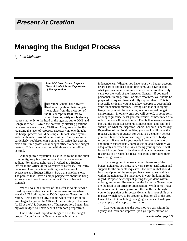## **Present At Creation**

## **Managing the Budget Process**

*by John Melchner*



*John Melchner, Former Inspector General, United States Department of Transportation*

**Inspectors General have always**<br> **had to worry about their budgets.** nspectors General have always It was clear from the inception of the IG concept in 1978 that we would have to justify our budgetary

requests not only to the head of the agency, but to OMB and Congress as well. Given the potentially differing positions between the agency head, OMB and Congress and the IGs regarding the level of resources necessary, no one thought the budget process would be simple. In fact, some cynics early on thought it would be impossible. The issue can be particularly troublesome in a smaller IG office that does not have a full-time professional budget officer to handle budget matters. This article is written with those smaller offices in mind.

Although my "reputation" as an IG is found in the audit community, very few people know that I am a reformed auditor. For almost eight years I worked as a Budget Officer in the Office of the Secretary of Defense. Ironically, the reason I got back into auditing was because of my experience as a Budget Officer. But, that's another story. The point is that I have a unique perspective about the budget process and how it impacts on the Office of Inspector Generals.

When I was the Director of the Defense Audit Service, I had my own budget account. Subsequent to that when I was the AIG Auditing in the DOD Inspector General organization, I was part of an OIG budget which was part of an even larger budget of the Office of the Secretary of Defense. As IG at the U.S. Department of Transportation, I again had my own budget, so I have seen it from both perspectives.

One of the most important things to do in the budget process for an Inspector General is to maintain your

independence. Whether you have your own budget account or are part of another budget line item, you have to state what your resource requirements are in order to effectively carry out the work of the Inspector General. If you need personnel, training, travel, or other resources, you should be prepared to request them and fully support them. This is especially critical if you need a key resource to accomplish your fundamental mission. Having said that, it is highly likely that you will be operating in a constrained budget environment. In other words you will be told, in some form of budget guidance, what you can request, or how much of a reduction you will have to take. That is fine, except remember that the Inspector General is independent and can (and should) do what the Inspector General believes is necessary. Regardless of the fiscal realities, you should still make the request within your agency for what you genuinely believe you need (and which you can support) in term of budget resources. If you make your needs known on the record, and there is subsequently some question about whether you adequately addressed the issues facing your agency, it will be well in your favor to be able to show you requested the resources you needed but fiscal constraints prevented them from being provided.

If you are going to make a request in excess of the budget guidance, you must have very strong justification and support for the amounts requested. Included in that should be a description of the steps you have taken to try and live within the guidance. Be innovative in your thinking in this regard. Propose new ways of getting the job done within existing resources. Remember, as the Inspector General you are the head of an office or organization. While it may have been your audit, investigative, or other skills that brought you to the position of Inspector General, it is your skills as a manager which have to be brought to bear on all of the problems of the OIG, including managing resources. I will give an example of this approach further on.

Give your arguments the best shot you can within the agency and learn and improve upon your presentation of

#### *(continued on page 12)*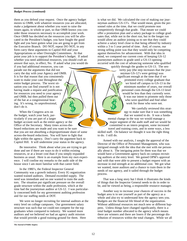#### *Budget Process (continued)*

them as you defend your request. Once the agency budget moves to OMB, with whatever resources you are allocated, make a judgement about whether you want to raise the issues again, in whole or part, so that OMB knows you consider those resources necessary to accomplish your work. Once OMB has decided on the resources you will be allocated in the President's budget, you have fought the good fight and you have gotten what you are going to get from the Executive Branch. DO NOT, repeat DO NOT, in any form carry these arguments to Capitol Hill and your Appropriations or other Oversight Committees. At that point your job is to support the President's budget. If asked whether you need additional resources, you should craft an answer that says, in effect, No. If asked what you would do

if you had additional resources, you can parade out the arguments that did not carry the day with your Agency and OMB. It is for that reason that you consistently want to make your case throughout the entire budget process. The worst situation you can find yourself in is not having made a request and justification for resources you need to your agency and OMB, but then pulled them out of the hat at a congressional hearing. It's wrong, its unprofessional, don't do it.

When the Congress acts on the budget, watch your back, particularly if you are part of a larger budget account such as the entire agency or the Office of the Secretary. Many times across-theboard reductions are made and you want to be sure that you are not absorbing a disproportionate share of some across-the-board reductions. You will have to fight that fight within the agency. Don't carry the argument back to Capitol Hill. It will undermine your status in the agency.

Be innovative. Think about what you are trying to get done and see if there are ways to do it within existing resources, or at a lesser cost than if you simply expanded business as usual. Here is an example from my own experience. I will confine my remarks to the audit side of the house since I am more familiar with that career field.

In the 1980's, the Federal Inspector General Community was a growth industry. Every IG organization wanted trained auditors. Demand exceeded supply. The need was immediate and no one wanted to train the auditors. The situation put significant pressure on the overall grade structure within the audit profession, which at the time had the journeyman auditor at GS-12. I was particularly concerned both for my government auditing profession and for our staffing needs at DOT.

We were no longer recruiting for internal auditors at the entry level on college campuses. Our government salary structure was such that we could not compete for the top graduates when compared to industry. We wanted more auditors and we believed we had an agency audit mission that would provide a good training ground for them. Here

is what we did. We calculated the cost of making our journeyman auditors GS-13's. That would mean, given the personnel rules at the time, that we could promote non competitively through that grade. That meant we could offer a promotion plan and a salary package to college graduates that, while not in the short run, but in the longer run would allow an auditor joining us to see that they could achieve a salary level close to that being offered by industry within a 3 to 5 year period of time. And, of course, our strong selling point was that they would only be competing against themselves for advancement. With that idea in mind, we compared our current costs of keeping GS-12 journeymen auditors in grade until a GS-13 opening occurred with the cost of advancing someone who qualified quickly through the grades to GS-13. The sen-

iority pay (the step increases that the journeyman GS-12's were getting) was significant enough at the time that if we promoted every college graduate that we hired off campus to GS-13 in the minimum number of years, our overall personnel costs through the GS-13 level would be less than they currently were. It was our intent to promote only those who were qualified and find other work for those who were not.

> We carefully reviewed this strategy to make sure that it was something that we wanted to do. It was a funda-

mental change in the way we would manage a major segment of the audit staff and we would be committed to an intern program, some increased travel and training costs, and in some ways, a less skilled staff. On balance we thought it was the right thing to do. I still do.

Armed with our analysis, I sought the approval of the Director of the Office of Personnel Management, who was intrigued enough with the idea that she met with me personally about it. The intriguing point for them was that we would have a Government agency back on campus recruiting auditors at the entry level. We gained OPM's approval and with that were able to present a budget request with an increase in end strength at no additional cost. We got what we wanted, more auditors and a chance to train them in the needs of our agency, and it sailed through the budget process.

That was a long story but I think it illustrates the kinds of things that the Inspector General needs to do in order to be, and be viewed as being, a responsible resource manager.

Another way to increase your chances of success in the budget area is to see yourself as part of the agency as a whole and also try to understand how the agency sees you. Budgets are the financial life blood of the organization. Without additional resources not much new or different happens. Unless things have changed significantly, there is a total budget number allocated to the agency which means there are winners and there are losers if the percentage distribution of resources within the total changes. While we all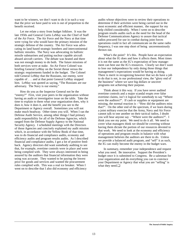want to be winners, we don't want to do it in such a way that the price we have paid to win is out of proportion to the benefit received.

Let me relate a story from budget folklore. It was the late 1950s and General Curtis LeMay was the Chief of Staff of the Air Force. The Air Force and the Navy at that time were vying for who would have the primary mission of the strategic defense of the country. The Air Force was advocating its land based strategic bombers and intercontinental ballistic missiles. The Navy was advocating its ballistic missile submarines and putting nuclear capable aircraft aboard aircraft carriers. The debate was heated and there was not enough money to do both. The future missions of both services were at stake. An Air Force Colonel was briefing General LeMay on the Soviet threat versus the strategic requirements funded in the budget. The Colonel told General LeMay that the Russians, our enemy, were capable of . . . and at that point General LeMay stopped him. LeMay was quoted as saying, "The Russians are our adversary. The Navy is our enemy."

How do you as the Inspector General not be the "enemy?" First, visit your peers in the organization without having an audit or investigative issue on the table. Take the time to explain to them what your organization does, why it does it, how it does it, and the benefit you see to the Department or Agency overall. Sometimes you will not make much headway. Other times you will. When I ran the Defense Audit Service, among other things I had primary audit responsibility for all of the Defense Agencies, which ranged from the Defense Supply Agency to the National Security Agency. I scheduled meetings with the Directors of those Agencies and concisely explained my audit mission which, in accordance with the Yellow Book of that time, was to do financial and compliance audits, economy and efficiency audits and program results audits. As I described financial and compliance audits, I got a lot of positive feedback. Agency directors did want somebody auditing to see that, for example, overtime controls were in place and were being complied with. They were always interested in being assured by the auditors that financial information they were using was accurate. They wanted to be paying the lowest price for goods and services and wanted the procurement rules complied with. This was a real ice breaker. When I went on to describe that I also did economy and efficiency

audits whose objectives were to review their operations to determine if their activities were being carried out in the most economic and efficient manner, the support for my help chilled considerably. When I went on to describe program results audits such as the need for the head of the Defense Communications Agency to assure that tactical radios procured for use in combat during joint forces operations could in fact all communicate on the same radio frequency, I was one step short of being unceremoniously thrown out.

What's the point? It's this. People have an expectation about what the IG does and how it affects them. Most times it is not the same as the IG's expectation of how management can best use the IG's resources. Clearly we don't want to lose our independence by only doing those things that management's expectations would be having us doing. There is merit in recognizing however that we do have a job to do that is not, in our professional view, the "glory end of the business" where we save big dollars or uncover programs not achieving their purpose.

Think about it this way. If you have never audited overtime controls and a major scandal erupts over false overtime claims, isn't it logical for somebody to say "Where were the auditors?". If cash or supplies or equipment are missing, the normal reaction is - "How did the auditors miss that?". On the other end of the spectrum, if we learn during a joint military exercise that the Army, Navy and Air Force cannot talk to one another on their tactical radios, I doubt you will hear anyone say - "Where were the auditors?". I think you see my point. We need to do it all. We need to cover what managers think we should be covering without having them dictate the portion of our resources devoted to that work. We need to look at the economy and efficiency of operations and program results in balance with what management believes the auditors are there to do. Unless we provide a balanced audit program, and "sell" it as such, the IG can really become the enemy in the budget wars.

In summary, remember your independence and request what you need. Be innovative. Support the President's budget once it is submitted to Congress. Be a salesman for your organization and do everything you can to convince your Department or Agency that what you are "selling" is what they need.❏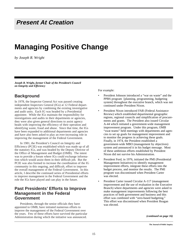## **Present At Creation**

## **Managing Positive Change**

*by Joseph R. Wright*

*Joseph R. Wright, former Chair of the President's Council on Integrity and Efficiency*

## **Background**

In 1978, the Inspector General Act was passed creating independent Inspectors General (IGs) at 12 Federal departments and agencies by combining the existing investigative and audit units. Each IG was headed by a Presidential appointee. While the IGs maintain the responsibility for investigations and audits in their departments or agencies, they were also given general directions to assist agency heads with improving the efficiency of their operation and identifying waste, fraud and abuse. Since that time, the IGs have been expanded to additional departments and agencies and have also been asked to play an ever-increasing role in improving the management of the Federal Government.

In 1981, the President's Council on Integrity and Efficiency (PCIE) was established which was made up of all the statutory IGs, and was headed by the Deputy Director of the Office of Management and Budget (OMB). The intent was to provide a forum where IGs could exchange information which would assist them in their difficult job. But the PCIE was also formed to increase the coordination of the IG community in this ongoing, and difficult, effort to improve the overall management of the Federal Government. In this article, I describe the continued series of Presidential efforts to improve management in the Federal Government and the role the IGs have played and can play in the future.

## **Past Presidents' Efforts to Improve Management in the Federal Government**

Presidents, through the senior officials they have appointed to OMB, have initiated numerous efforts to improve the management of the Federal Government over the years. Few of these efforts have survived the particular Administration during which the initiative was announced.

For example:

- President Johnson introduced a "war on waste" and the PPBS program [planning, programming, budgeting system] throughout the executive branch, which was not continued under President Nixon.
- President Nixon introduced FAR (Federal Assistance Review) which established departmental geographic regions, regional councils and simplification of procurements and grants. The President also issued Circular A-44 which initiated a government-wide management improvement program. Under this program, OMB "swat teams" held meetings with departments and agencies to set up goals for management improvement and to monitor the progress in achieving these goals. Finally, in 1974, the President established a government-wide MBO (management by objectives) system and announced it in his budget message. Most of these ambitious efforts established by President Nixon did not survive his Administration.
- President Ford, in 1976, initiated the PMI (Presidential Management Initiatives) to identify management improvement efforts, integrate these efforts into the budget process, and monitor the results. The PMI program was discontinued when President Carter was elected.
- President Carter issued Circular A-117 (management improvement and the use of evaluation in the Executive Branch) where departments and agencies were asked to make management improvements following the best practices of both government and business and this effort was combined with "zero-based budgeting." This effort was discontinued when President Reagan was elected.

*(continued on page 16)*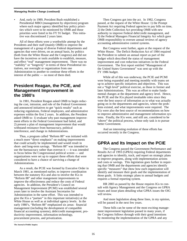#### *Manageing Positive Change (continued)*

• And, early in 1989, President Bush established a Presidential MBO (management by objectives) program where each major agency identified key policy priorities which were to be monitored by OMB and those priorities were listed in his FY 91 budget. This initiative was discontinued 2 years later.

All of these efforts were a worthwhile attempt by the Presidents and their staff (mainly OMB) to improve the management of a group of diverse Federal departments and agencies that were driven, on an annual basis, by politics (both from the White House and the Congress) and did not have the incentives or tools available to establish, measure, and effect "real" management improvement. There was no "stability" or "longevity" in terms of these Presidential initiatives, nor oversight or organization from one Administration to another to continue these efforts in the interest of the public — so most of them died.

## **President Reagan, the PCIE, and Management Improvement in the 1980's**

In 1981, President Reagan asked OMB to begin reducing the cost, intrusion, and role of the Federal Government and announced initiatives to get "quick results" such as reducing regulations, Federal employees, and administrative expenses within the first 2 years. In addition, the President asked OMB to: 1) evaluate why past management improvement efforts in the Federal Government had failed, and 2) present a plan of management improvement that would withstand resistance from bureaucracy, political interference, and change in Administrations.

Thus, a program called "Reform 88" was initiated with a much more "direct emphasis" on making improvements that could actually be implemented and would result in short- and long-term savings. "Reform 88" was intended to use the bureaucracy rather than overrun it — it was intended to focus below the Congressional political screen — and organizations were set up to support these efforts that were considered to have a chance of surviving a change of Administrations.

As a result, the PCIE was formed by Executive Order in March 1981, as mentioned earlier, to improve coordination between the statutory IGs and also to involve the IGs in "Reform 88" and other mangement improvements to improve the effectiveness and reduce the costs of Federal agencies. In addition, the President's Council on Management Improvement (PCMI) was established several years later to involve the Assistant Secretaries for Administration in the same effort. This was intended to give the IGs a "partner" in this important initiative(s) at the White House as well as at individual agency levels. In the early 1980's, "Reform 88" emphasized six areas: financial management (including the development of compatible financial accounting systems), debt/credit management, productivity improvement, information technology, procurement process, and privatization.

Then Congress got into the act. In 1982, Congress passed, at the request of the White House: 1) the Prompt Payment Act requiring Federal agencies to pay bills on time, 2) the Debt Collection Act providing OMB with new authority to improve Federal debt/credit management, and 3) the Federal Managers Financial Integrity Act which gave OMB responsibility to oversee annual reviews of agency accounting administrative control systems.

But Congress went further, again at the request of the White House. The Deficit Reduction Act of 1984 required the President to submit an annual report as part of the budget which described the status of management improvement and cost reduction initiatives in the Federal Government. The first report entitled "Management of the United States Government" was sent up with the FY 1986 budget.

While all of this was underway, the PCIE and PCMI were being expanded and meeting monthly with teams set up to achieve specific initiatives and objectives. This was not a "high level" political exercise, as those in former and later Administrations. This was an effort to make fundamental changes at the department and agency level. Hence, the PCIE and the IGs played invaluable roles since they were the best source of information as to what was actually going on in the departments and agencies, where the problems existed, and what improvements were required. The IGs were also the best source of recommendations on how to improve administrative and management information systems. Finally, the IGs were, and still are, considered to be "above" the political process, whose only task is to pursue better Government.

And an interesting evolution of these efforts has occurred recently in the Congress.

## **GPRA and Its Impact on the PCIE**

The Congress passed the Government Performance and Results Act of 1993 (GPRA) requiring Federal departments and agencies to identify, track, and report on strategic plans to improve programs, along with implementation actions and costs or savings. This legislation goes further in requiring that OMB and the departments and agencies identify specific "measures" that show how each organization will identify and measure their goals and the implementation of those goals. It links strategic plans to annual budgets and requires a formal reporting system.

HR 2883 as passed by the House requires IGs to consult with Agency Management and the Congress on GPRA issues and issue plans detailing what GPRA issues the OIG will review.

And more legislation along these lines, in my opinion, will be passed in the next few years.

These bills can be some of the most exciting management improvement legislation passed in many years, if the Congress follows through with their good intentions by monitoring the implementation of the GPRA and any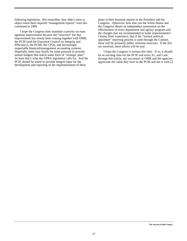following legislation. But remember, they didn't seem to object when their required "management reports" were discontinued in 1989.

I hope the Congress does maintain a priority on management improvement because the "structure" for that improvement has slowly been coming together with OMB, the PCIE (and the Executive Council on Integrity and Efficiency), the PCMI, the CFOs, and increasingly respectable financial/management accounting systems. Hopefully, there may finally be some pressure to provide annual budgets that match some form of "strategic plan." At least that's what the GPRA legislation calls for. And the PCIE should be asked to provide integral input for the development and reporting of the implementation of these

plans in their biannual reports to the President and the Congress. Otherwise, how else can the White House and the Congress obtain an independent assessment on the effectiveness of every department and agency program and the changes that are recommended to make improvements? I know, from experience, that if the "normal political appointee" reporting process is used through the Cabinet, these will be primarily public relations exercises. If the IGs are involved, these efforts will be real.

I hope the Congress is serious this time. If so, it should be an exciting time for the PCIE and every IG, and I ask, through this article, my successors at OMB and the agencies appreciate the value they have in the PCIE and use it well.❏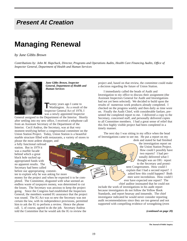## **Present At Creation**

## **Managing Renewal**

#### *by June Gibbs Brown*

*Contributions by: John M. Hapchuck, Director, Programs and Operations Audits, Health Care Financing Audits, Office of Inspector General, Department of Health and Human Services* 



*June Gibbs Brown, Inspector General, Department of Health and Human Services*

**T** wenty years ago I came to Washington. As a result of the Inspector General Act of 1978, I was a newly appointed Inspector

General assigned to the Department of the Interior. Shortly after settling into my new office, I received a telephone call from an Assistant Secretary of the Department of the Interior. Cecil Andrus, the Secretary, was at that very moment testifying before a congressional committee on the Union Station Project. Today, Union Station is a beautiful marble structure filled with restaurants, a variety of stores to please the most ardent shopper, and

**Audigator**

a fully functional railroad station. But in 1979 it was a marble facade behind which a great black hole sucked up appropriated funds with no apparent results. The Secretary had been called before our appropriating commit-

tee to explain why he was asking for more money for the project and when he expected it to be completed. The Committee, disgusted with what seemed an endless waste of taxpayers money, was determined to cut the losses. The Secretary was anxious to keep the project going. Since the Congress had established the Inspectors General, the members wanted IG assurance that the project was sound. The IG Act was so new the Secretary was not certain the law, with its independence provisions, permitted him to ask the IG to perform a review. Hence the phone call. I, of course, agreed to do the job. Secretary Andrus told the Committee that he would ask the IG to review the

project and, based on that review, the committee could make a decision regarding the future of Union Station.

I immediately called the heads of Audit and Investigation to my office to discuss their assignment (the Assistant Inspectors General for Audit and Investigations had not yet been selected). We decided to build upon the results of numerous work products already completed. I checked on the progress weekly and then daily as time wore on. Finally the Audit Chief, with considerable fanfare, presented the completed report to me. I delivered a copy to the Secretary, concerned staff, and personally delivered copies to all Committee members. I had a great sense of relief that this first highly visible project had been completed in a timely manner.

The next day I was sitting in my office when the head of Investigations came to see me. He put a report on my

desk and stated he had finished the investigation report on the Union Station Project. How could I possibly have two reports? I had personally delivered what I thought was an OIG report to the Secretary and promi-

nent Congressmen. How could I explain that I had a second report? I asked how this could happen? Both men were incredulous. How could I ever have expected one report? The chief auditor insinuated that he could not

include the work of investigations in his audit report because investigators do not follow the Yellow Book Standards, and report hearsay and innuendo. The chief investigator indicated he would never consider reporting audit recommendations since they are too general and not supported with compelling evidence of wrongdoing (even

*(continued on page 20)*

**CERTIFICATE** CERTIFICATOR" **J.B.G.**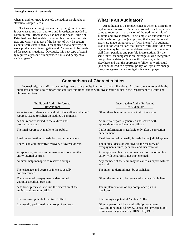#### *Managing Renewal (continued)*

when an auditor knew it existed, the auditor would take a statistical sample...etc.).

That was a defining moment in my fledgling IG career. It was clear to me that auditors and investigators needed to communicate. Because they had not in the past, Billie Sol Estes had been better able to conceal his fraudulent activities, and wasn't that part of the history of why Inspectors General were established? I recognized that a new type of work product - an "investigative audit" - needed to be created for special situations. Obviously, this new type of activity required a person with expanded skills and perspective an "audigator."

## **What is an Audigator?**

An audigator is a complex concept which is difficult to explain in a few words. As it has evolved over time, it has come to represent an expansion of the traditional role of auditors and investigators. For example, an audigator is an auditor who recognizes (and proves) that some "innocent" errors are made on purpose or "with intent." An audigator is an auditor who realizes that his/her work identifying overpayments may be used in the determination of criminal or civil fines, penalties and possible incarceration. By the same token, an audigator is an investigator who recognizes that problems detected in a specific case may exist elsewhere and that the appropriate follow-up work could (and should) lead to a system, policy, or legislative change. Everyone agrees that an audigator is a team player.

## **Comparison of Characteristics**

Increasingly, my staff has been using investigative audits in criminal and civil actions. An alternate way to explain the audigator concept is to compare and contrast traditional audits with investigative audits in the Department of Health and Human Services.

| <b>Traditional Audits Performed</b><br>By Auditors                                                                 | <b>Investigative Audits Performed</b><br>By Audigators                                                                                                       |
|--------------------------------------------------------------------------------------------------------------------|--------------------------------------------------------------------------------------------------------------------------------------------------------------|
| An entrance conference is held with the auditee and a draft<br>report is issued to solicit the auditee's comments. | Often, there is minimal contact with the suspect.                                                                                                            |
| A final report is issued to the auditee and<br>program managers.                                                   | An internal report is generated and shared with<br>appropriate law enforcement officials.                                                                    |
| The final report is available to the public.                                                                       | Public information is available only after a conviction<br>or settlement.                                                                                    |
| Final determination is made by program managers.                                                                   | Final determination usually is made by the judicial system.                                                                                                  |
| There is an administrative recovery of overpayments.                                                               | The judicial decision can involve the recovery of<br>overpayments, fines, penalties, and incarceration.                                                      |
| A report may contain recommendations to strengthen<br>entity internal controls.                                    | A compliance plan may be mandated for the offending<br>entity with penalties if not implemented.                                                             |
| Auditors help managers to resolve findings.                                                                        | Any member of the team may be called as expert witness<br>at a trial.                                                                                        |
| The existence and degree of intent is usually<br>not determined.                                                   | The intent to defraud must be established.                                                                                                                   |
| The amount of overpayment is determined<br>within a specified precision.                                           | Often, the amount to be recovered is a negotiable item.                                                                                                      |
| A follow-up review is within the discretion of the<br>auditor and program officials.                               | The implementation of any compliance plan is<br>monitored.                                                                                                   |
| It has a lower potential "sentinel" effect.                                                                        | It has a higher potential "sentinel" effect.                                                                                                                 |
| It is usually performed by a group of auditors.                                                                    | Often is performed by a multi-disciplinary team<br>(e.g. auditors, medical review specialists, investigators)<br>from various agencies (e.g. HHS, FBI, DOJ). |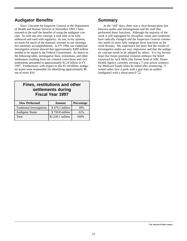## **Audigator Benefits**

Since I became the Inspector General at the Department of Health and Human Services in November 1993, I have stressed to the staff the benefits of using the audigator concept. As with any new concept, it took time to be fully embraced and used with regularity. Its use, in my opinion, accounts for much of the dramatic increase in our investigative monetary accomplishments. In FY 1994, our traditional investigative actions showed that approximately \$300 million needed to be repaid to the Federal Government. As shown in the following table, investigative fines, restitutions, and other settlements resulting from our criminal convictions and civil settlements amounted to approximately \$1.24 billion in FY 1997. Furthermore, with respect to this \$1.24 billion, audigator teams were responsible for identifying approximately \$6 out of every \$10.

## **Fines, restitutions and other settlements during Fiscal Year 1997**

| <b>How Performed</b>              | <b>Amount</b>     | Percentage |
|-----------------------------------|-------------------|------------|
| <b>Traditional Investigations</b> | $$479.3$ million  | 39%        |
| <b>Audigator Teams</b>            | \$759.8 million   | 61%        |
| Total                             | \$1,239.1 million | 100\%      |

### **Summary**

In the "old" days, there was a clear demarcation line between audits and investigations and the staff that performed these functions. Although the majority of the work is still segregated by discipline, times and conditions have radically changed and the Inspectors General community needs to more fully integrate these functions as the work dictates. My experience has been that the results of investigative audits are very impressive and that the audigator concept needs to be adopted by others. It is my fervent hope that future potential violators embrace the belief expressed by Jack Mills (the former head of ABC Home Health Agency currently serving a 7-year prison sentence for Medicare fraud) when he stated after sentencing, "I would rather face a punk with a gun than an auditor [audigator] with a sharp pencil."❏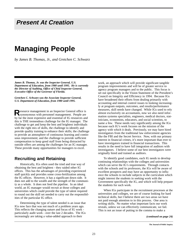## **Present At Creation**

## **Managing People**

*by James B. Thomas, Jr., and Gretchen C. Schwarz* 

*James B. Thomas, Jr. was the Inspector General, U.S. Department of Education, from 1980 until 1995. He is currently the Director of Auditing, Office of Chief Inspector General, Executive Office of the Governor of Florida.*

*Gretchen C. Schwarz was the Associate Inspector General, U.S. Department of Education, from 1980 until 1995.*

Resource management in an Inspector General office is synonymous with personnel management. People are by far the most expensive and essential of IG resources and this is THE tremendous challenge for the IG manager. The challenge to get and keep the best and brightest individuals with the right mix of skills, the challenge to identify and provide quality training to enhance their skills; the challenge to provide an atmosphere of continuous learning and continuous improvement; and the challenge to provide sufficient compensation to keep good staff from being distracted by outside offers are among the challenges for an IG manager. These provide many opportunities for managers to excel.

#### **Recruiting and Retaining**

Historically, IGs often used the tried and true way of obtaining the best and brightest - they raided other IG offices. This has the advantages of providing experienced staff quickly and provides some cross-fertilization among the IG offices. However, it has a significant down side. It does not add to the wealth and the strength of the community as a whole. It does not feed the pipeline. In an ideal world, an IG manager would recruit at those colleges and universities which could provide the type of talent required to round out the skill set needed to carry out the responsibilities of the particular IG office.

Determining the type of talent needed is an issue that IGs now face that was not much of a problem years ago. This reflects the changing nature and focus of IG work particularly audit work - over the last 2 decades. The IGs increasingly are taking a value-added approach to their

work, an approach which will provide significant tangible program improvements and will be of greater service to agency program managers and to the public. This focus is set out specifically in the Vision Statement of the President's Council on Integrity and Efficiency in 1994. Because IGs have broadened their efforts from dealing primarily with accounting and internal control issues to looking increasingly at program outputs, outcomes, and results/performance measures, skill needs have changed. While IGs used to rely almost exclusively on accountants, now we also need information systems specialists, engineers, medical doctors, statisticians, economists, educators, and social scientists, to name a few. These needs vary significantly among the IGs because each IG's work focuses on the mission of the agency with which it deals. Previously, we may have hired investigators from the traditional law enforcement agencies like the FBI and the Secret Service. Now, with our primary interest in financial crimes, it's more important than ever to have investigators trained in financial transactions. This results in the need to have full integration of auditors with investigators. I believe some of our best investigators were originally hired and trained as auditors.

To identify good candidates, each IG needs to develop continuing relationships with the colleges and universities which can serve the IG's requirements. Through contacts with the schools and its professors, the IGs will be aware of excellent prospects and may have an opportunity to influence the schools to include subjects in the curriculum which might interest the students in seeking work with the Government specifically the IG, and which will help prepare the students for such work.

When IGs participate in the recruitment processes at the universities and colleges, we are of course looking for hard technical skills, but I believe there are two areas we have not paid enough attention to in this process. One area is writing skills. No matter what important facts our work reveals, unless we can effectively communicate, we fail. This is not an issue of putting in the comma to make a

*(continued on page 24)*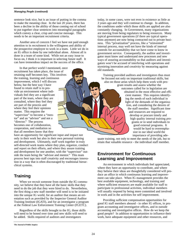#### *Managing People (continued)*

sentence look nice, but is an issue of putting in the comma to make the meaning clear. In the last 20 years, there has been a decline in the ability of those coming out of school to put together clear sentences into meaningful paragraphs which convey a clear, crisp and concise message. This needs to be an important recruitment criteria.

Another area of concern I feel we have not paid enough attention to in recruitment is the willingness and ability of the prospective employee to work in a team. Little we do in an IG office is done by one individual alone. Almost all is done in a team of some kind. While not an easy issue to focus on, I think it is important in selecting future staff. It can have tremendous impact on the success of the office.

In that perfect world I mentioned, once recruitment has taken place, the issue of retaining staff becomes key. This involves the training, learning and continuous improvement, which I will discuss below, but the best way I have found to retain staff is to provide an environment where individuals feel they are a significant part of the team, where they are consulted, where they feel they are part of the process and where they feel their opinions matter. This requires the "supervisor" to become a "mentor" and an "advisor" and not a "director." The process becomes one of collaboration, cooperation, and mediation so that all members know that they

have an opportunity for significant input and impact not only in their work but also in their own personal training and development. Ultimately, staff work together in truly self-directed work teams where they plan, organize, conduct and report on their efforts, and where they assure training and development for one another, with the "supervisor" outside the team being the "advisor and mentor." This team process best taps into staff creativity and encourages innovation in a way that is often discouraged by traditional hierarchical systems.

## **Training**

When we recruit someone from outside the IG community, we believe that they have all the basic skills that they need to do the job that they were hired to do. Nevertheless, the first thing a new staff member will need is to be initiated into the unique IG world, for an auditor that means an orientation such as provided by the Inspector General Auditor Training Institute (IGATI), and for an investigator a program at the Federal Law Enforcement Training Center (FLETC).

Regardless of the skills brought to the IG, those skills will need to be honed over time and new skills will need to be added. Skills required of auditors and investigators

today, in some cases, were not even in existence as little as 3 years ago and they will continue to change. In addition, the conditions under which those skills are applied are also constantly changing. In Government, many organizations are moving from being regulators to being resources. Many typical government operations (if there are typical operations anymore) are now being contracted out to private business. This "privatization" process, like a "reinvented" internal process, may well not have the kinds of internal controls for accountability that we have come to know in government service. Consequently, the auditor and investigator must know and understand new processes and new ways of assuring accountability so that auditors and investigators won't be accused of interfering with operations and stymieing innovation and creativity by measuring against old standards.

Training provided auditors and investigators thus must be focused not only on important traditional skills, but also on those areas which help them work with program results and assess whether the outcomes called for in legislation are obtained in the most effective and efficient manner. This requires identifying the needs of each individual in light of the demands of the organization, and considering the desires of the staff member. Significant time and resources are required to develop or procure timely and high quality internal training programs or to send individuals to good external programs. It would be hard to overemphasize in our ideal world the importance of providing ade-

quate training, not only to meet the needs of the job, but to retain that valuable resource - the individual staff member.

## **Environment for Continuous Learning and Improvement**

An environment in which individuals feel appreciated, where they have an opportunity to contribute, and where they believe their ideas are thoughtfully considered will produce an office in which continuous learning and improvement can take place. When IG management provides the best available equipment, technology, and training and where sufficient resources are made available for staff to participate in professional activities, individual members will usually respond by being more committed and involved in work and in the activities for self improvement.

Providing sufficient compensation opportunities for good IG staff members abound - in other IG offices, in program accounting and investigative offices, and in outside accounting and investigative offices. How do we keep the good people? In addition to opportunities to influence their work, have adequate equipment and other resources, and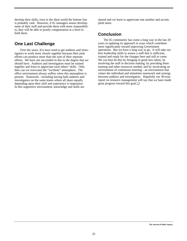develop their skills, even in the ideal world the bottom line is probably cash. However, if IG managers assure development of their staff and provide them with more responsibility, they will be able to justify compensation at a level to hold them.

## **One Last Challenge**

Over the years, IGs have tried to get auditors and investigators to work more closely together because their joint efforts can produce more than the sum of their separate efforts. We have not succeeded in this to the degree that we should have. Auditors and investigators must be trained together and learn to appreciate each others' skills. Only then can we overcome the "we/them" atmosphere. The office environment always suffers when this atmosphere is present. Teamwork - including having both auditors and investigators on the same teams where all share equally depending upon their skill and experience is imperative. In this supportive environment, knowledge and skills are

shared and we learn to appreciate one another and accomplish more.

## **Conclusion**

The IG community has come a long way in the last 20 years in updating its approach in ways which contribute more significantly toward improving Government operations. But we have a long way to go. It will take our best leadership skills to assure a staff that is sufficient, trained and ready for the changes here and still to come. We can best do this by bringing in good new talent, by involving the staff in decision making, by providing them training and other resources needed, and by inculcating an environment of continuous learning - an environment that values the individual and stimulates teamwork and synergy between auditors and investigators. Hopefully our 30-year report on resource management will say that we have made great progress toward this goal.❏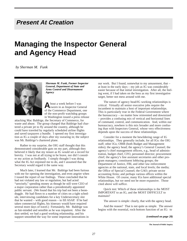## **Present At Creation**

## **Managing the Inspector General and Agency Head**

*by Sherman M. Funk*



*Sherman M. Funk, Former Inspector General, Department of State and Arms Control and Disarmament Agency*

A bout a week before I was<br> **A**sworn in as Inspector General of the Commerce Department, one of the non-profit watchdog groups in Washington issued a press release

attacking Mac Baldrige, the Secretary of Commerce, for waste and abuse. The group charged that Baldrige had chartered a private jet to fly around the country, although he could have traveled by regularly scheduled airline flights and saved taxpayers a bundle. I opened my first investigation as IG a couple of days after my swearing in; the subject was Mr. Baldrige's chartered plane.

Rather to my surprise, the OIG staff thought that this demonstrated considerable guts on my part, although they believed it likely that my tenure as IG would set a record for brevity. I was not at all trying to be brave, nor did I consider my action as foolhardy. I simply thought I was doing what the IG Act enjoined me to do, and I assumed that the Secretary would regard it the same way.

Much later, I learned that Mr. Baldrige had been furious with me for opening the investigation, and even angrier when I issued the report of our findings. These concluded that he had not violated any law or regulation, but had acted "unwisely," spending money as though he still were CEO of a major corporation rather than a presidentially appointed public servant. (We found that his trip had not been a boondoggle. He had flown to a number of cities on a tight schedule, interviewing candidates for a key Undersecretary slot that he wanted – with good reason – to fill ASAP. If he had taken commercial flights, his itinerary would have required several more days of travel.) Fortunately, Mr. Baldrige was as fair-minded and sensible as he was impatient. After the dust settled, we had a good working relationship, and his support smoothed the way for some important innovations in

our work. But I found, somewhat to my amusement, that – at least in the early days – my job as IG was considerably easier because of that initial investigation. After all, the feeling went, if I had taken on the boss as my first investigative target, better not mess around with me.

The nature of agency head/IG working relationships is critical. Virtually all senior executive jobs require the incumbent to maintain a host of important relationships. This is particularly true in the Federal Government where the bureaucracy – no matter how reinvented and downsized – provides a confusing mix of vertical and horizontal lines of command, control, and communication. And, within our bureaucracy, nowhere is this mix broader and more confusing than with Inspectors General, whose very effectiveness depends upon the success of these relationships.

Consider for a moment the bewildering range of IG relationships. They generally include, for all IGs: the OIG staff; other IGs; OMB (both Budget and Management sides); the agency head; the agency's General Counsel; the agency's chief management officers, e.g., head of administration, budget chief, CFO, personnel director; procurement chief; the agency's line assistant secretaries and other program managers; constituent lobbying groups; the Department of Justice, FBI, and other law enforcement agencies at the national, state, and local levels; the media; the Office of Special Counsel; the GAO; private sector accounting firms; and perhaps various offices within the White House. Of course, many IGs have additional special relationships, but we need not be more expansive. Those cited above will suffice.

Quick test: Which of these relationships is the MOST IMPORTANT to an IG, and the MOST DIFFICULT to maintain?

The answer is simple: clearly, that with the agency head.

And the reason? That is not quite as simple. The answer begins with the essential, rock-bottom function of an IG: to

*(continued on page 28)*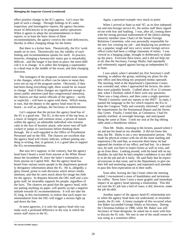#### *Managing the Inspector General (continued)*

effect positive change in the IG's agency. Let's trace the path of such a change. Through findings in IG audit, inspection, and investigative reports, the agency becomes aware of deficiencies in its programs and/or operations. When it agrees to adopt the recommendations in these reports, or at least the basic thrust of these recommendations, the agency corrects the cited deficiencies, thereby in effect changing things for the better.

But there is a kicker here. Theoretically, the IGs' work stands on its own. Theoretically too, the validity of each finding and recommendation speaks for itself. In practice, however, changing a bureaucratic status quo is remarkably difficult…and the longer it has been in place, the more difficult it is to change. It is rather like bringing a supertanker to a dead stop in the middle of the ocean, and then changing direction.

The managers of the programs concerned must consent to the changes, which in effect can be taken to mean they were not on top of the program earlier. Obviously, if they had been doing everything right, there would be no reason to change. And if these changes are significant enough to attract public attention (and thus congressional attention), the chances are that senior officials of the agency – tacitly or explicitly – will have to agree with them. Which means, in turn, that the deputy to the agency head must be on board…as well as, perhaps, the Secretary or Administrator.

Let's suppose that the picture the agency head has of the IG is a good one. The IG, in the eyes of the top boss, is a tower of integrity and common sense, a person of stature within the agency, an admirable individual who remains calm in the face of hysteric attack, who never runs off halfcocked or jumps to conclusions before thinking them through. He is well-regarded in the Office of Presidential Personnel and on the Hill. The chances are excellent that the agency head will clearly indicate, without putting anything in writing, that, in general, it is a good idea to support the IGs recommendations.

But now let's suppose, to the contrary, that the agency head hasn't heard a word from anyone at the White House about the incumbent IG since the latter's nomination, or from anyone on Capitol Hill. But the agency head has heard from various senior people in the department generally derogatory information about the IG. He is, allegedly, a glory hound, prone to rash decisions which attract media attention, and that he cares much about his image but little for the agency. In disputes between the OIG staff and a program staff, he invariably supports his people, regardless of the facts. The chances are good that the agency head, without putting anything on paper, will quietly accept a negative attitude towards IG recommendations. It will not take the IG long, in this environment, to realize that each major recommendation from the OIG will trigger a serious fight up and down the line.

In most agencies, it is only the agency head who can make such a profound difference in the way in which the senior staff reacts to the IG.

Again, a personal example very much in point:

When I arrived at State in mid-'87, as its first independent and non-foreign service IG, the senior staff there regarded me with fear and loathing. I was, after all, coming there with the strong personal endorsement of the (then) ranking minority member (now Chair) of the Senate Foreign Relations Committee, who was personally responsible for the new law creating my job – and displacing my predecessor, a popular, tough and very savvy senior foreign service officer (who had been a college classmate of mine). I was viewed as a hanging judge, brought in deliberately to shake up the place. Everyone there knew, and it did not help me at all, that the Secretary, George Shultz, had repeatedly and vehemently argued against having an independent IG at State.

I was asked, when I attended my first Secretary's staff meeting, to address the group, outlining my plans for the new office and describing my proposed modus operandi. The meeting, held in the department's Operations Center, was crowded and, when I approached the lectern, the attendees were palpably hostile. I talked about 10 or 12 minutes and, when I finished, asked if there were any questions. There was a long silence, and then came a single question: "Would I routinely send my reports to the Hill?" In reply, I quoted the language in the Act which requires the IGs to keep the Congress "fully and currently informed," and cited the requirements for the Semiannual Report and the Seven-Day Letter. Finally, I noted that, at Commerce, I had frequently testified at oversight hearings, and anticipated doing the same at State. I took my seat at the big oblong table amid a thunderous silence.

Then Mr. Shultz, returning to the lectern, paused where I sat and put his hand on my shoulder. (I did not know this then, but Mr. Shultz is not a very demonstrative person. This made his physical contact with me all the more startling and impressive.) He said that, as everyone there knew, he had opposed the creation of my office, and had lost. In a democracy, he said, you have to expect losses as well as wins, and go on from there. Looking around, with his hand still on my shoulder, he said that he had complete confidence in my ability to do the job and do it fairly. He said flatly that he expected everyone in that room, and in the Department, to give me their full and unstinting support, and requested each attendee to pass this firm expectation on to their staffs.

Soon after, leaving the Ops Center when the meeting ended, I encountered a mass of handshakes and invitations for coffee. Never have I seen a more graphic and immediate impact of an agency head opening a relationship. This did not turn the IG job into a bed of roses; it did, however, make the job do-able.

Another aspect of the agency head-IG relationship arises when the agency head does not understand, or misunderstands, the IG role. A funny example of this occurred when Jim Baker succeeded George Shultz as Secretary. During the Christmas holiday in 1988, while Mr. Baker was still Secretary of State-designate, he asked me to meet with him to discuss the IG role. We met in one of the small rooms he was using as a transition office.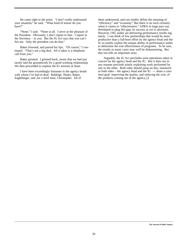He came right to the point. "I don't really understand your situation," he said. "What kind of tenure do you have?"

"None," I said. "None at all. I serve at the pleasure of the President. Obviously, I don't report to him. I report to the Secretary – to you. But the IG Act says that you can't fire me. Only the president can do that."

Baker frowned, and pursed his lips. "Of course," I continued. "That's not a big deal. All it takes is a telephone call from you."

Baker grinned. I grinned back, aware that we had just tacitly laid the groundwork for a good working relationship. We then proceeded to explore the IG mission at State.

I have been exceedingly fortunate in the agency heads with whom I've had to deal: Baldrige, Shultz, Baker, Eagleburger, and ,for a brief time, Christopher. All of

them understood, and can readily define the meaning of "efficiency" and "economy." But there is no such certainty when it comes to "effectiveness." GPRA in large part was developed to plug this gap; its success as yet is uncertain. However, OIG audits are delivering performance results regularly. I can think of few partnerships that would be more productive than a full-bore effort by the agency head and the IG to jointly exploit the unique ability of performance audits to determine the true effectiveness of programs. To be sure, the results in many cases may well be disheartening. But that too tells an important story.

Arguably, the IG Act precludes joint operations taken in concert by the agency head and the IG. But it does not in any manner preclude jointly exploiting work performed by one or the other. Both sides should jump on this, inasmuch as both sides – the agency head and the  $IG$  — share a common goal: improving the quality, and reducing the cost, of the products coming out of the agency.❏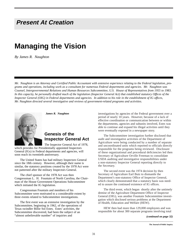## **Present At Creation**

## **Managing the Vision**

*By James R. Naughton*

*Mr. Naughton is an Attorney and Certified Public Accountant with extensive experience relating to the Federal legislation, programs and operations, including work as a consultant for numerous Federal departments and agencies. Mr. Naughton was Counsel, Intergovernmental Relations and Human Resources Subcommittee, U.S. House of Representatives from 1955 to 1983. In this capacity, he personally drafted much of the legislation (Inspector General Act) that established statutory Offices of the Inspector General (OIG) in Federal departments and agencies. In addition to his role in the establishment of IG offices, Mr. Naughton directed several investigative and reviews of government-related programs and activities.* 



*James R. Naughton*

## **Genesis of the Inspector General Act**

The Inspector General Act of 1978, which provides for Presidentially appointed Inspectors General (IGs) in Federal departments and agencies, will soon reach its twentieth anniversary.

The United States has had military Inspectors General since the 18th century. However, although their name is similar, the statutory positions created by the 1978 Act were not patterned after the military Inspectors General.

The chief sponsor of the 1978 Act was then Congressman L. H. Fountain of North Carolina, the Chairman of the House Government Operations Subcommittee which initiated the IG legislation.

Congressman Fountain and members of his Subcommittee were motivated to a considerable extent by three events related to Subcommittee investigations.

The first event was an extensive investigation by the Subcommittee, beginning in 1962, of the operations of Texas swindler Billie Sol Estes. Estes' activities, the Subcommittee discovered, had been the subject of an "almost unbelievable number" of inquiries and

investigations by agencies of the Federal government over a period of nearly 10 years. However, because of a lack of effective coordination or communication between or within the departments, agencies and subunits involved, Estes was able to continue and expand his illegal activities until they were eventually exposed in a newspaper story.

The Subcommittee investigation further disclosed that audit and investigative activities of the Department of Agriculture were being conducted by a number of separate and uncoordinated units which reported to officials directly responsible for the programs being reviewed. Disclosure of these organizational and procedural deficiencies led then Secretary of Agriculture Orville Freeman to consolidate USDA auditing and investigative responsibilities under a non-statutory Inspector General reporting directly to the Secretary.

The second event was the 1974 decision by then Secretary of Agriculture Earl Butz to dismantle the Department's non-statutory Office of Inspector General, which clearly demonstrated that a statutory basis was needed to assure the continued existence of IG offices.

The third event, which began shortly after the untimely demise of the Agriculture Department Office of Inspector General (OIG), was another Fountain Subcommittee investigation which disclosed serious problems at the Department of Health, Education and Welfare (HEW).

HEW then had more than 129,000 employees and was responsible for about 300 separate programs involving total

#### *(continued on page 32)*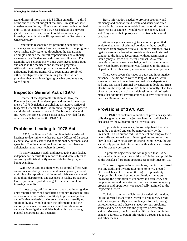#### *Managing the Vision (continued)*

expenditures of more than \$118 billion annually — a third of the entire Federal budget at that time. In spite of these massive expenditures, HEW's central investigative unit had only 10 investigators with a 10-year backlog of uninvestigated cases; moreover, the unit could not initiate any investigation without specific approval of the Secretary or Undersecretary.

Other units responsible for promoting economy and efficiency and combating fraud and abuse in HEW programs were haphazardly scattered throughout the department; no single unit had the overall responsibility and authority necessary for effective leadership and coordination. For example, two separate HEW units were investigating fraud and abuse in the medicare and medicaid programs. Although some medical providers were undoubtedly defrauding both programs, HEW regulations prohibited either investigative unit from telling the other which providers they were investigating or what problems they were finding.

## **Inspector General Act of 1976**

Because of the deplorable situation at HEW, the Fountain Subcommittee developed and secured the enactment of 1976 legislation establishing a statutory Office of Inspector General at HEW. With minor exceptions, powers and duties of the newly created HEW Inspector General (IG) were the same as those subsequently provided for IG offices established under the 1978 Act.

## **Problems Leading to 1978 Act**

In 1977, the Fountain Subcommittee held a series of hearings to determine whether statutory Offices of Inspector General should be established at additional departments and agencies. The Subcommittee found serious problems and deficiencies almost everywhere it looked.

In many instances, audit and investigative units lacked independence because they reported to and were subject to control by officials directly responsible for the programs being examined.

With few exceptions, there were no central offices with overall responsibility for audits and investigations; instead, multiple units reporting to different officials were scattered throughout departments and agencies in haphazard fashion. One department reported having 116 separate audit and investigative units.

In most cases, officials to whom audit and investigative units reported either had conflicting program responsibilities or were otherwise unable or unlikely to provide objective and effective leadership. Moreover, there was usually no single individual who had both the information and the authority necessary to ensure successful coordination of audit and investigative activities both within and among Federal departments and agencies.

Basic information needed to promote economy and efficiency and combat fraud, waste and abuse was often not available. When unfavorable information did surface, there was no assurance it would reach the agency head and Congress or that appropriate corrective action would be taken.

At some agencies, investigators were not permitted to explore allegations of criminal conduct without specific clearance from program officials. In other instances, investigators were not allowed to provide evidence of criminal conduct to the Justice Department without permission of their agency's Office of General Counsel. As a result, potential criminal cases were being held up for months or even years before information was furnished to the Justice Department; in other cases, information was never provided.

There were severe shortages of audit and investigative personnel. Audit cycles were as long as 20 years, while some activities had never been audited. One department had only six trained criminal investigators to look into irregularities in the expenditure of \$25 billion annually. The lack of resources was particularly indefensible in light of estimates that additional investigators would save or recover as much as 20 times their cost.

## **Provisions of 1978 Act**

The 1978 Act contained a number of provisions specifically designed to correct major problems and deficiencies disclosed by the Subcommittee's investigations.

To provide independence, the Act stipulated that IGs are to be appointed and can be removed only by the President. It also authorized IGs to select and employ their own staffs and to make such investigations and reports as they decided were necessary or desirable; moreover, the Act specifically prohibited interference with audits or investigations by agency personnel.

To promote objectivity, the Act required that IGs be appointed without regard to political affiliation and prohibited the transfer of program operating responsibilities to IGs.

To correct organizational problems, the Act transferred existing audit and investigative units to newly created Offices of Inspector General (OIGs). Responsibility for providing leadership and coordination in matters involving the promotion of economy and efficiency and the prevention and detection of fraud and abuse in agency programs and operations was specifically assigned to the Inspectors General.

To help assure the availability of needed information, the Act directed Inspectors General to keep agency heads and the Congress fully and completely informed, through periodic reports and otherwise, about serious problems, abuses and deficiencies and the progress of corrective action. Moreover, the Act provided IGs with strong independent authority to obtain information through subpoenas and other means.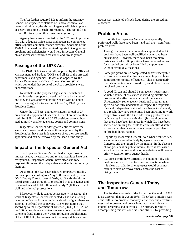The Act further required IGs to inform the Attorney General of suspected violations of Federal criminal law, thereby eliminating the ability of agency officials to prevent or delay furnishing of such information. (The Act did not require IGs to suspend their own investigations.)

Agency heads were directed by the 1978 Act to provide IGs with adequate office space and necessary equipment, office supplies and maintenance services. Sponsors of the 1978 Act believed that the required reports to Congress on problems and deficiencies would help Inspectors General obtain increased resources for audits and investigations.

## **Passage of the 1978 Act**

The 1978 IG Act was initially opposed by the Office of Management and Budget (OMB) and all 12 of the affected departments and agencies. It was also opposed by the Justice Department's Office of Legal Counsel (OLC), which contended that some of the Act's provisions were unconstitutional.

Nevertheless, the proposed legislation - which had strong bipartisan support - passed the House by a vote of 388 to 6 and was approved by the Senate without opposition. It was signed into law on October 12, 1978 by then President Carter.

Under the 1978 Act and other statutes, a total of 27 presidentially appointed Inspectors General are now authorized. In 1988, an additional 30 IG positions were authorized at mostly smaller agencies, boards and commissions.

Inspectors General at "designated entities" have the same basic powers and duties as those appointed by the President, but have less independence since they are usually appointed and can be removed by the head of the entity.

## **Impact of the Inspector General Act**

The Inspector General Act has had a major positive impact. Audit, investigative and related activities have been reorganized. Inspectors General have clear statutory responsibilities and the independence and authority to carry them out.

As a group, the IGs have achieved impressive results. For example, according to a May 1988 statement by then OMB Deputy Director Joseph Wright, IG activities during Fiscal Years 1981 through 1988 resulted in total savings and cost avoidance of \$110 billion and nearly 23,000 successful civil and criminal prosecutions.

Moreover, while it cannot be accurately measured, the work of Inspectors General undoubtedly has had a strong deterrent effect on firms or individuals who might otherwise attempt to defraud the taxpayers. It is worth noting that, according to the Department of Defense (DOD) OIG, 20 of the 100 largest defense contractors were convicted of procurement fraud during the 7 years following establishment of the DOD OIG; by contrast, not one major defense contractor was convicted of such fraud during the preceding 4 decades.

## **Problem Areas**

While the Inspectors General have generally performed well; there have been - and still are - significant problem areas:

- Through the years, most individuals appointed to IG positions have been well-qualified; some have been outstanding. However, there have been too many instances in which IG positions have remained vacant for extended periods or been filled by appointees without strong qualifications.
- Some programs are so complicated and/or susceptible to fraud and abuse that they are almost impossible to administer or monitor effectively. This is particularly true when the tax code is used to provide benefits for unrelated programs.
- A good IG can and should be an agency head's most valuable source of assistance in avoiding pitfalls and promoting the effective operation of the agency. Unfortunately, some agency heads and program managers do not fully understand or respect the responsibilities and independent status of their Inspector General; as a result, they have sometimes been unwilling to work cooperatively with the IG in addressing problems and deficiencies in agency activities. (It should be noted that there have been instances in which IGs have been accused of limiting their role to criticism after disaster strikes rather than warning about potential problems before bad things happen.)
- Reports by Inspectors General, even when well written, are often not used effectively by agency heads or Congress and are ignored by the media. In the absence of congressional or public interest, there is less assurance that IG findings and recommendations will receive priority attention from agency heads.
- IGs consistently have difficulty in obtaining fully adequate resources. This is true even in situations where it is clear that additional employees would be almost certain to save or recover many times the cost of hiring them.

## **The Inspectors General Today and Tomorrow**

The fundamental role of the Inspectors General in 1998 is no different than it was in 1978. Their basic mission was - and still is - to promote economy, efficiency and effectiveness and to prevent and detect fraud, waste and abuse in Federal programs and activities. The primary means of accomplishing this mission was - and still is - by providing

*(continued on page 34)*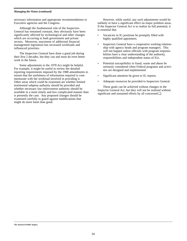#### *Managing the Vision (continued)*

necessary information and appropriate recommendations to Executive agencies and the Congress.

Although the fundamental role of the Inspectors General has remained constant, they obviously have been significantly affected by technological and other changes which are occurring in both government and private sectors. Moreover, enactment of additional financial management legislation has increased workloads and influenced priorities.

The Inspectors General have done a good job during their first 2 decades, but they can and must do even better work in the future.

Some adjustments to the 1978 Act might be helpful. For example, it might be useful to review the detailed reporting requirements imposed by the 1988 amendments to ensure that the usefulness of information required is commensurate with the workload involved in providing it. Other areas which could be examined are whether limited testimonial subpena authority should be provided and whether necessary law enforcement authority should be available in a more timely and less complicated manner than is presently the case. Any proposed changes should be examined carefully to guard against modifications that might do more harm than good.

However, while useful, any such adjustments would be unlikely to have a significant effect on major problem areas. If the Inspector General Act is to realize its full potential, it is essential that

- Vacancies in IG positions be promptly filled with highly qualified appointees.
- Inspectors General have a cooperative working relationship with agency heads and program managers. This will not happen unless officials with program responsibilities have a clear understanding of the authority, responsibilities and independent status of IGs.
- Potential susceptibility to fraud, waste and abuse be seriously considered when Federal programs and activities are designed and implemented.
- Significant attention be given to IG reports.
- Adequate resources be provided to Inspectors General.

These goals can be achieved without changes in the Inspector General Act, but they will not be realized without significant and sustained efforts by all concerned.**□**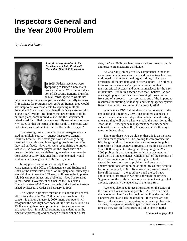## **Inspectors General and the Year 2000 Problem**

*by John Koskinen*



*John Koskinen, Assistant to the President and Chair, President's Council on Year 2000 Conversion*

In 1995, Federal agencies were<br>
preparing to launch a new era in n 1995, Federal agencies were service delivery. With the introduction of Electronic Benefits Transfer, or EBT cards, agencies would not

only be able to make more payments electronically to benefit recipients for programs such as Food Stamps, they would also help to cut overhead costs by replacing multiple Federal and State paper-based benefit delivery systems with a single card system. But before the new system could be put into place, some individuals within the Government raised a red flag. Had the agencies fully examined the security issues so that the cards, if in the hands of someone with bad intentions, could not be used to fleece the taxpayer?

The warning came from what some managers considered an unlikely source — agency Inspectors General. Unlikely because these managers saw IGs as only being involved in auditing and investigating problems long after they had surfaced. Now, they were recognizing the important role IGs have often played on the "front end" of a process, in this instance, delivering valuable recommendations about security that, once fully implemented, would lead to better management of the card system.

In my prior incarnation as Deputy Director for Management at the Office of Management and Budget and Chair of the President's Council on Integrity and Efficiency, I was delighted to use the EBT story to illustrate the important role IGs can play in averting problems. Now, I've returned to the Federal Government as Chair of the President's Council on Year 2000 Conversion, which the President established by Executive Order on February 4, 1998.

The Council's primary mission is to coordinate Federal efforts to address the Year 2000 computer problem. The concern is that on January 1, 2000, many computers will recognize the two-digit date code of "00" not as 2000 but as 1900, causing them to stop running or to start generating erroneous data. In a global economy dependent upon the electronic processing and exchange of financial and other

data, the Year 2000 problem poses a serious threat to public and private organizations worldwide.

As Chair, my job has two key components. One is to encourage Federal agencies to expand their outreach efforts to domestic and international organizations, to increase awareness of the problem and to offer support. The other is to focus on the agencies' progress in preparing their mission-critical systems and external interfaces for the next millennium. It is in this second area that I believe IGs can once again play a significant and meaningful role on the front end of a process — by serving as one of the important resources for auditing, validating, and testing agency system fixes in the months leading up to January 1, 2000.

Why agency IGs? I think there are two reasons: independence and timeliness. OMB has required agencies to subject their systems to independent validation and testing to ensure they will work when we make the transition to the Year 2000. Thus, agency management needs independent, unbiased experts, such as IGs, to assess whether their systems are indeed fixed.

There are those who would say that this is an instance in which management will be looking to compromise the IGs' long tradition of independence to improve the public perception of their agency's progress on making its systems Year 2000 compliant. I disagree. If anything, the Year 2000 problem is a challenge for which management will need the IGs' independence, which is part of the strength of their recommendations. Our overall goal is to do everything we can to solve problems and ensure that agency operations are running as smoothly as they need to be come January 1, 2000. To achieve that, we will need to have all the facts — the good news and the bad news about agency progress as we move through the process. Sugarcoating the truth in the short-term is not going to help anyone, especially the agencies, in the long-run.

Agencies also need to get information on the status of their system fixes as soon as possible. As I've often said, this is one problem for which neither the President nor the Congress can push back the deadline. If systems are not fixed, or if a change to one system has created problems in another, management needs to get that feedback in real time so they can shift resources and adjust benchmarks

*(continued on page 36 )*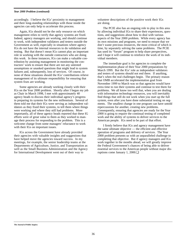#### *Year 2000 Problem (continued)*

accordingly. I believe the IGs' proximity to management and their long-standing relationships with those inside the agencies can only help to accelerate this process.

Again, IGs should not be the only resource on which management relies to verify that agency systems are fixed. Indeed, agency managers are working, and should continue to work, with independent validators and testers outside the Government as well, especially in situations where agency IGs do not have the internal resources to do validation and testing. But that doesn't mean IGs cannot play an important role in working with the outside contractors who are doing this work. In these instances, IGs can make a valuable contribution by assisting management in monitoring the contractors' work to ensure that there are not any untested assumptions or unasked questions that might lead to system failures and, subsequently, loss of services. Of course, in none of these situations should the IGs' contributions relieve management of its ultimate responsibility for ensuring that system fixes are working.

Some agencies are already working closely with their IGs on the Year 2000 problem. Shortly after I began my job as Chair in March 1998, I met with approximately 40 agency heads to discuss their individual agency's progress in preparing its systems for the new millennium. Several of them told me that their IGs were serving as independent validators as they fixed their systems, to tell them where things were working and where they still had problems. More importantly, all of these agency heads reported that these IG efforts were of great value to them as they worked to manage their process for responding to the problem. This is a welcome change from some managers' reluctance to work with their IGs on important issues.

IGs across the Government have already provided their agencies with valuable insights and suggestions that have helped move the agencies toward success. In my meetings, for example, the senior leadership teams at the Departments of Agriculture, Justice, and Transportation as well as the Small Business Administration and the Agency for International Development went out of their way to

volunteer descriptions of the positive work their IGs are doing.

The PCIE also has an ongoing role to play in this area by allowing individual IGs to share their experiences, questions, and suggestions about how to deal with various aspects of the Year 2000 problem. While every agency has its own missions and programs, we need to ensure that we don't waste precious resources, the most critical of which is time, by separately solving the same problems. The PCIE has used its "forum" program to help share perspectives, and I hope it will continue to reinforce the work of its individual members.

The immediate goal is for agencies to complete the implementation phase of their Year 2000 preparations by March 1999. But the IGs' role as independent validators and testers of systems should not end there. If anything, that's when the real challenges begin. The primary reason that OMB accelerated the implementation goal from November 1999 to March was so that agencies would have extra time to run their systems and continue to test them for problems. We all know too well that, when you are dealing with information technology resources, you will inevitably find things that still do not work when you start up the full system, even after you have done substantial testing on segments. The smallest change in one program can have untold repercussions for another, creating new problems. Consequently, ensuring that agencies are ready for the Year 2000 is going to require the continual testing of completed work and the ability of systems to deliver services to the American people. IGs need to be part of that effort.

I firmly believe that IGs and agency management have the same ultimate objective — the efficient and effective operation of programs and delivery of services. The Year 2000 problem presents us with an unparalleled challenge to completing that objective. But if agency managers and IGs work together in the months ahead, we will greatly improve the Federal Government's chances of being able to deliver essential services to the American people without major disruptions come January 1, 2000.❏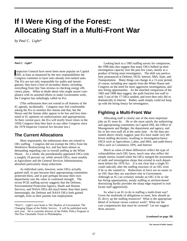# **If I Were King of the Forest: Allocating Staff in a Multi-Front War**

*by Paul C. Light\**

#### *Paul C. Light\**

Inspectors General have never been more popular on Cap Hill, at least as measured by the new responsibilities the nspectors General have never been more popular on Capitol Congress continues to layer onto already over-tasked units. The IGs are not only responsible for audits and investigations, they have a host of secondary duties, including everything from Qui Tam reviews to checking energy efficiency plans. When in doubt about who might assure compliance with its assorted efforts to make Government work, the Congress has unfailingly called on IGs.

(This enthusiasm does not extend to all features of the IG agenda, incidentally. Congress may feel comfortable asking the IGs to monitor this statute and that, but the House and the Senate alike appear to be less and less interested in IG opinions on authorizations and appropriations. At their current pace, the IGs will testify fewer times in the 105th Congress than they have in any other Congress since the 1978 Inspector General Act became law.)

## **The Current Allocations**

More importantly, the enthusiasm does not extend to OIG staffing. Congress did not exempt the OIGs from the Workforce Restructuring Act, and has been almost as demanding regarding cuts in overall staffing as the White House. As a whole, the presidentially-appointed OIGs took a roughly 10 percent cut, while several OIGs, most notably at Agriculture and the General Services Administration, absorbed particularly sharp reductions.

As individual units, however, some OIGs actually gained staff, in part because their appropriating committees protected them, and in part perhaps because their own departments saw the value in continued strength. The recent PCIE staffing survey suggests that the Defense, Environmental Protection Agency, Heath and Human Services, and NASA OIGs did much better than their peers. Interestingly, the Defense and NASA OIGs both gained strength, even as their parents lost employment.

Looking back to a 1983 staffing survey for comparison, the 1998 data also suggest that many OIGs bulked up their investigation capacity over the past few years, mostly as a product of hiring more investigators. The shift was particularly pronounced at Defense, HUD, Interior, SBA, State, and Transportation. Many things can change in a 15-year period, of course, including new signals from the White House and Congress on the need for more aggressive investigations, and new hiring opportunities. As the attached comparison of the 1983 and 1998 data suggest, the audit function lost staff in only 5 out of the 17 OIGs studied, and even then only did so dramatically in Interior. Rather, audit simply could not keep up with the hiring frenzy for investigators.

## **Fighting a Multi-Front War**

Allocating staff is clearly one of the most important jobs an IG must do. He or she must satisfy the authorizing and appropriating committees on Capitol Hill, the Office of Management and Budget, the department and agency, and his or her own staff all at the same time. As the data presented above clearly suggest, past IGs have made very different staffing decisions, resulting in investigation-heavy OIGS such as Agriculture, Labor, and SBA, and audit-heavy OIGs such as Commerce, EPA, and Interior.

Much as some of these differences reflect the type of vulnerabilities each OIG faces, much may also reflect the simple inertia created when the OIGs merged the assortment of audit and investigation shops that existed in each department before the 1978 Act. It is not clear that a single IG could radically alter the staffing structure of an OIG even if he or she wanted to. Reductions in force are no easier in an OIG than they are anywhere else in Government. Although an IG can certainly remake an OIG if he or she has hiring opportunities, steady staffing or attrition-based downsizing hardly provides the sharp edge required to reallocate staff aggressively.

So what is an IG to do in staffing a multi-front war? Given the multitude of obligations to meet, how should an IG divvy up the staffing resources? What is the appropriate blend of in-house versus contract work? What are the core competencies that must be covered? Let me suggest three answers.

<sup>\*</sup>Paul C. Light's next book is The Shadow of Government: The Changing Shape of the Public Service. It will be published early next year. He is currently director of the Public Policy Program at The Pew Charitable Trusts in Philadelphia.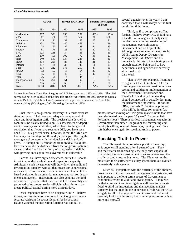#### *King of the Forest (continued)*

|                | <b>AUDIT</b> |           | <b>INVESTIGATION</b> |           |      | <b>Percent Investigation</b><br>of Total |
|----------------|--------------|-----------|----------------------|-----------|------|------------------------------------------|
|                | 1983         | 1998      | 1983                 | 1998      | 1983 | 1998                                     |
| Agriculture    | 387          | 391       | 256                  | 299       | 40%  | 43%                                      |
| AID            | 92           | <b>NA</b> | 26                   | <b>NA</b> | 22   | <b>NA</b>                                |
| Commerce       | 115          | 121       | 39                   | 33        | 25   | 21                                       |
| Defense        | 451          | 724       | 146                  | 469       | 24   | 39                                       |
| Education      | 74           | 160       | 59                   | 88        | 44   | 35                                       |
| Energy         | 81           | 176       | 23                   | 66        | 22   | 27                                       |
| <b>EPA</b>     | 123          | 288       | 34                   | 68        | 22   | 19                                       |
| <b>GSA</b>     | 210          | 199       | 102                  | 72        | 33   | 27                                       |
| <b>HHS</b>     | 540          | 541       | 134                  | 235       | 20   | 30                                       |
| <b>HUD</b>     | 304          | 325       | 83                   | 146       | 21   | 31                                       |
| Interior       | 297          | 188       | 36                   | 49        | 11   | 21                                       |
| Labor          | 194          | 212       | 173                  | 210       | 47   | 50                                       |
| <b>NASA</b>    | 33           | 107       | 13                   | 64        | 29   | 37                                       |
| <b>SBA</b>     | 55           | 35        | 49                   | 53        | 47   | 60                                       |
| State          | 26           | 98        | $\overline{4}$       | 44        | 13   | 31                                       |
| Transportation | 316          | 290       | 61                   | 92        | 16   | 24                                       |
| VA             | 205          | 192       | 60                   | 75        | 23   | 28                                       |
| Totals         | 3503         | 4047      | 1298                 | 2063      | 27%  | 34%                                      |

Source: President's Council on Integrity and Efficiency, surveys, 1983 and 1998. The 1998 survey had not been validated at the time this article was written; the 1983 survey is summarized in Paul C. Light, Monitoring Government: Inspectors General and the Search for Accountability (Washington, D.C.: Brookings Institution, 1993).

First, there is no question that every OIG must cover its statutory base. That means an adequate complement of audit and investigation staff. The precise share devoted to each must be clearly linked to an IG's assessment of department or agency vulnerabilities, which leads to the general conclusion that if you have seen one OIG, you have seen one OIG. My general sense, however, is that the OIGs are too heavy on investigation these days, perhaps reflecting the more general concern with individual scandal in today's press. Although an IG cannot ignore individual fraud, neither can he or she be distracted from the long-term systemic causes of that fraud by the flurry of congressional delight with proving once again that Government is vulnerable.

Second, as I have argued elsewhere, every OIG should invest in a modest evaluation and inspections capacity. Admittedly, such investments will draw down the audit and investigation capacity, with all that means for congressional resistance. Nevertheless, I remain convinced that an OIGbased evaluation is an essential management tool for departments and agency. Inspections can also generate the kind of short-term products that increase the OIG's visibility and perceived value among senior officials, which in turn, can create political capital during more difficult days.

Does inspections have to be a separate unit? I believe it does, and continue to recommend that Congress create a separate Assistant Inspector General for Inspections. Having watched the inspection function rise and fall at

several agencies over the years, I am convinced that it will always be the first cut during tight times.

Third, as if to complicate staffing further, I believe every OIG should have a handful of management analysts to combat the continuing weakening of management oversight across Government and on Capitol Hill. Although one can admire the efforts by OMB Acting Deputy Director for Management, Ed DeSeve and his remarkably thin staff, there is simply not enough attention being paid to how departments and agencies are currently structured to do their work.

That is why, for example, I continue to argue that the OIGs should take the most aggressive stance possible in overseeing and validating implementation of the Government Performance and Results Act, and why I believe they should be involved in actually designing the performance indicators. If not the OIGs, then who? Political appointees who will be in office for another few

months before moving on? Program analysis units that have been decimated over the past 15 years? Budget units? Personnel shops? There is far less management capacity in Government than either Congress or the reinventing community is willing to admit these days, making the OIGs a safe harbor once again for speaking truth to power.

## **Speaking Truth to Power**

The IGs remain in a precarious position these days, as is anyone still standing after 5 years of cuts. They and their staffs are increasingly the only ones capable of conducting the honest assessment in an era where even the smallest scandal means big news. The IGs must get the most from their staffs, even as they spread them out over an increasingly wide agenda.

Much as I sympathize with the difficulty of the choices, investments in inspections and management analysis are just as important to the long-term success of Government as continued strength in audit and investigation. It may well be that some audit and investigation staff have to be sacrificed to build the inspections and management analysis capacity, but that may be the better part of valor as the OIGs struggle to fill in the gaps across a Government that most certainly looks smaller today but is under pressure to deliver more and more.❏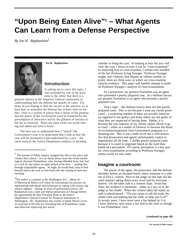# **"Upon Being Eaten Alive"1 – What Agents Can Learn from a Defense Perspective**

*By Ira H. Raphaelson2*



*Ira H. Raphaelson*

#### **Introduction**

In asking me to cover this topic, I was reminded by one of the assistants to the editor that there is a

genuine interest in the Inspector General community in understanding how the defense bar attacks its cases. For those of you hoping to find the secrets to the universe, or at least how to neutralize the defense bar in here, look no further. Ours is a system of justice that is borne of the premise that the power of the Government must be balanced by the presumption of innocence and by the glibness of lawyers to the not so innocent. There are some tricks not worth sharing and others not hard to know.

The best way to understand how I "attack" the Government's case is to understand that I look at how the case will be presented to and understood by a jury – the same analysis the Justice Department employs in deciding

whether to bring the case. In looking at how the jury will view the case, I focus on how it can be "cross-examined." In analyzing how to cross-examine, I remain ever mindful of the late Professor Irving Younger. Professor Younger taught, and I believe, that despite an infinite number of styles, there are finite ways in which we cross-examine (attack) evidence. This paper will humbly attempt to build on Professor Younger's analysis of cross-examination.

As a prosecutor, my greatest frustration was an agent who presented a poorly prepared case. As a defense lawyer, my greatest frustration is an agent who presents a poorly prepared case.

That's right – this defense lawyer does not like poorly prepared cases. This is not because I want my clients prosecuted – a surprising number of them are actually innocent (as opposed to not guilty) and many others are not guilty of what they are suspected of having done. Rather, it is because the vast majority of my clients cannot afford to go to court – either as a matter of finances or because the threat of exclusion/suspension from Government programs is a daunting one. This is not a trade secret but a well-known fact that prosecutors and agents unfortunately exploit in negotiations all the time. I dislike poorly prepared cases because it is easier to negotiate based on the truth than based on a perception. Of course, perception is a key area for cross-examination according to Professor Younger, whose world we now enter.

#### **Imagine a courtroom**

The power of the agent, the prosecutor, and the defense dwindles before an elevated bench where someone in a robe sits in FULL control. Next to the judge on one side sits the court reporter taking down every word said by everyone – forever. On the other side is a witness chair. From that chair, the evidence is presented – either to a jury or to the judge as fact-finder. When the witness takes the stand, an oath is administered – "Do you swear to tell the truth, the whole truth and nothing but the truth, so help you G-d?" In twenty years, I have never seen a liar helped by G-d. I have, however, seen many a liar tied to the chair as though it was Prometheus' rock.

<sup>1</sup> The Journal of Public Inquiry assigned the title to this piece and I honor their choice. It is no doubt drawn from the Greek mythological character Prometheus, who, having offended Zeus, was tied to a rock by day where an eagle picked at his liver — putting him through unspeakable agony. At night, he would heal, only to find himself tied to the rock as bird food with the coming of each new morning.

 $2$ The author is a partner in the Washington D.C. offices of O'Melveny & Myers LLP where he concentrates his practice on representing individuals and businesses in coping with various regulatory regimes. During 16 years of government service, Mr. Raphaelson was a state and federal prosecutor in Chicago before his appointment by then President Bush as the Justice Department's Special Counsel for Financial Institutions in Washington. Mr. Raphaelson also wishes to thank Sharon Levin, an associate at his firm for reminding him of Prometheus' name and otherwise improving this article.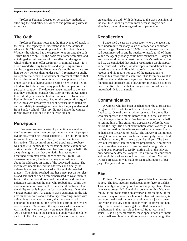#### *Defense Perspective (continued)*

Professor Younger focused on several key methods of attacking the credibility of evidence and portraying witnesses as liars:

## **The Oath**

Professor Younger notes that the first avenue of attack is the oath – the capacity to understand it and the ability to adhere to it. This seems simple at first blush but it is not. Whether the witness has the capacity to appreciate the oath – truth from fiction — is the basis for a rather complex, and not altogether uniform, set of rules affecting the age at which children may offer testimony in criminal cases. It is also a wonderful way to understand why using informants can be dangerous to the Government's credibility – liars are liars so why believe them under oath? I remember a public corruption trial where a Government informant testified that he had cheated on his ex-wife in marriage, previously lied under oath in his divorce about beating his wife and lied in a Federal trial about how many people he had paid off for a particular contract. The defense lawyer argued to the jury that they should not consider his prior perjury in evaluating his credibility because he lied in trial to save a friend and lied in divorce from shame. Rather, the prosecution argued the witness was unworthy of belief because he violated his oath of fidelity in marriage – something the jury understood from Sunday school. The jury did not believe the witness for the reasons outlined in the defense closing.

## **Perception**

Professor Younger spoke of perception as a matter of the five senses rather than perception as a matter of perspective or bias which he treated separately. The ability to know is crucial to a witness' credibility. Two incidents are instructive. The victim of an armed postal truck robbery was unable to identify the defendant on direct examination during the trial. The defendant had been caught a half mile away fleeing in a car that the victim had accurately described, with mail from the victim's mail route. On cross-examination, the defense lawyer asked the victim about the addresses on some of the recovered letters. The victim was unable to read the addresses and finally the defense lawyer (mistakenly) asked if the victim needed glasses. The victim reached into her purse, put on her glasses and said that she had been embarrassed to wear them in front of the jury, could now read the address and that the defendant was indeed the man who robbed her. While the cross-examination was inept in that case, it confirmed that the ability to see is important for an eyewitness. One other vantage point story. An agent is cross-examined on the witness stand for hours about video tape recordings made with a fixed lens camera, on a theory that the agency had doctored the tapes to put the defendant's arm in one ten second sequence. On redirect, the agent was asked where he was standing when the tapes were made. His reply – "At a peephole next to the camera so I could watch the defendant." On the other hand, if you didn't see or hear it, do not

pretend that you did. With deference to the cross-examiner of the mail truck robbery victim, most defense lawyers can effectively undermine exaggerations of perception.

## **Recollection**

I once tried a case as a prosecutor where the agent had been undercover for many years as a trader at a commodities exchange. There were 10,000 corrupt transactions he had been involved in and he needed to testify to 80 of them. While the agent probably could have memorized 19 days of testimony on direct or at least the next day's testimony if he had to, we concluded that such a recollection would appear to be contrived. Instead, we developed a foundational set of questions that would allow him to refer to the trading records and his reports for each of the transactions to "refresh his recollection" each time. The testimony went so well that the ten defense lawyers each followed the same foundational approach and allowed him to consult his notes on cross. Recollection that is too good or too bad can be impeached. It is that simple.

## **Communication**

A witness who has been coached either by a prosecutor or agent will be made to look a liar. I once tried a vote fraud case. One of the star witnesses was a heroin addict who disappeared the month before trial. On the last day of trial, the agents found him. We had ten minutes in the hall to remind him of his grand jury appearance before he was before the jury. His direct examination went flawlessly. On cross-examination, the witness was asked how many hours he had spent preparing to testify. The answer of ten minutes brought an incredulous look from the trial judge who asked me before the jury if that were true. I said yes. The jury was out less time than the witness preparation. Another witness in another case was cross-examined at length about having been prepared to testify, during which the lawyers pretended to be defense lawyers, took him to the courtroom, and taught him where to look and how to dress. Normal witness preparation was made to seem subornation of perjury. The jury did not convict.

#### **Bias**

Professor Younger saw two types of bias in cross-examination. The first involves predisposition to favor or dislike. This is the type of perception that means perspective. Do all defense attorneys lie? Are all doctors committing Medicare fraud? Is an investigation an adversarial proceeding? If the answer to any of these (or a hundred other test questions) is yes, your predisposition in a case will cause a jury to question your objectivity and ultimately your judgment and honesty. I have heard IG investigators called zealots and headhunters in their pursuit of internal fraud, waste and abuse. Like all generalizations, these appellations are unfair but a small sample of what those who pursue anything other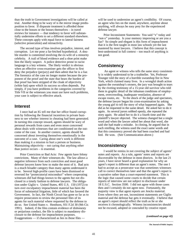than the truth in Government investigations will be called at trial. Another thing to be wary of is the mirror image predisposition to favor. If disparate treatment is afforded those close to the bosses or the bosses themselves – in travel reviews for instance — that tendency to favor will substantially undermine efforts to set a different standard elsewhere. These concepts apply with equal force to lateral fairness (selective prosecution) and retroactivity.

The second type of bias involves prejudice, interest, and corruption. Let me pose a far-fetched hypothetical. A double murder is committed involving the ex-wife of a minority celebrity. A trail of blood evidence and a shoe print make him the likely suspect. A police detective prone to racist language is a key witness. The likely verdict is obvious when an effective cross-examiner gets the officer to first deny the prejudice (perjury) and then admit that he is a liar. The forensics of the case no longer matter because the proponent of the proof and the state that bears the burden of that proof has been stripped of the cloak of objectivity (white hat) upon which its success so often depends. Put simply, if you have problems in the categories covered by Title VII or the witnesses you must use have such problems, your case is subject to effective attack.

#### **Interest**

I once had an IG tell me that her office found corruption by following the financial incentives in private business to see whether interest in cheating had been generated. In turning this concept inward, agents should be wary of personal rewards from cases and even more concerned about deals with witnesses that are conditioned on the outcome of the case. In another context, agents should be concerned about investing themselves emotionally in the outcome of a case. Caring about one's work is different than making it a mission to hurt a person or business. Maintaining objectivity – not caring that anything other than justice occurs – is essential.

Prior Conviction or Bad Acts: Few agents have felony convictions. Many of their witnesses do. The law allows a negative inference from such conviction and most good defense lawyers know how to make the most of it. Bad acts is a much broader category than many agents understand it to be. Several high-profile cases have been dismissed or reversed for "prosecutorial misconduct" where cooperating witnesses did bad things known to the agents but not disclosed in a timely fashion to defense lawyers. The obligation under Giglio v. United States, 405 U.S. 150 (1972) to turn over exculpatory impeachment material has been the focus of substantial litigation, little of which has favored the Government. In fact, the Ninth Circuit has gone so far as to require prosecutors to review the personnel files of its agents for such material where requested by the defense to do so. See United States v. Henthorn, 931 F.2d 30 (9th Cir. 1991). Indeed, if the files contain evidence of dishonesty or perjurious conduct, the file is subject to mandatory disclosure to the defense for impeachment purposes. Exaggerations — if characterized as lies in those files —

will be used to undermine an agent's credibility. Of course, an agent who lies on the stand, anywhere, anytime about anything, will always be easy prey for the experienced defense lawyer.

Prior Inconsistent Statements: You said "x" today and "not-x" yesterday. Is your memory improving or are you a liar? So simple and elegant is this form of impeachment that it is the first taught in most law schools yet the last mastered by most lawyers. I believe that this concept is best-understood in full context – too much of anything is not good.

## **Consistency**

An agent or witness who tells the same story consistently is widely understood to be a truthteller. Yet, Professor Younger told the story of a horrible sweatshop fire in New York, which claimed many lives. In a wrongful death action against the sweatshop's owners, the jury was brought to tears by the riveting testimony of a 15-year old survivor who told them in graphic detail of the inhuman conditions of employment, overcrowding, inadequate ventilation, absence of escape routes, etc. To the shock of the judge and spectators, the defense lawyer began his cross-examination by asking the young girl to tell the story of what happened again. She did as he requested in the same detail. He asked her to do it again. As several jurors sobbed openly, she repeated the story again. He asked her to do it a fourth time and the plaintiff's lawyer objected. The witness changed but a single word and when the lawyer asked her about that word, she said she had made a mistake. In closing, he argued that in each retelling, the witness used the exact same words and that this consistency proved she had been coached and had lied. He won. (See Communication above.)

## **Inconsistency**

I would be remiss in not covering the subject of agents' notes and reports. As a rule, agents' notes and reports are discoverable by the defense in most districts. In the last 21 years, I have never heard a good explanation for why an agent's report is different than an agent's notes. The one I had to accept as a prosecutor was that sometimes witnesses call to correct themselves later and that the agent's report is a narrative rather than a court-reported statement. This is the logic that caused some courts to decide that certain reports of interview are not subject to disclosure under 18 U.S.C. Section 3500. I did not agree with those cases then and I certainly do not agree now. Fortunately, the majority view is that agent reports are Jencks material. Even where they are not, inconsistent statements are Giglio material and the defense bar gets it eventually. I believe that an agent's report should reflect the truth as he or she receives it chronologically. Witness inconsistencies should not be excused, adopted or concealed by creative report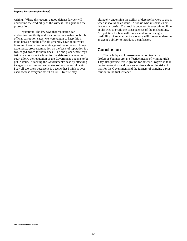#### *Defense Perspective (continued)*

writing. Where this occurs, a good defense lawyer will undermine the credibility of the witness, the agent and the prosecution.

Reputation: The law says that reputation can undermine credibility and it can raise reasonable doubt. In official corruption cases, we were taught to keep this in mind because public officials generally have good reputations and those who cooperate against them do not. In my experience, cross-examination on the basis of reputation is a two-edged sword for both sides. The one place where reputation is a consistent winner for the defense is where the court allows the reputation of the Government's agents to be put in issue. Attacking the Government's case by attacking its agents is a common and all-too-often successful tactic. I say all-too-often because it is a tactic that I think is overused because everyone saw it on OJ. Overuse may

ultimately undermine the ability of defense lawyers to use it when it should be an issue. A rookie who mishandles evidence is a rookie. That rookie becomes forever tainted if he or she tries to evade the consequences of the mishandling. A reputation for bias will forever undermine an agent's credibility. A reputation for violence will forever undermine an agent's ability to introduce a confession.

## **Conclusion**

The techniques of cross-examination taught by Professor Younger are an effective means of winning trials. They also provide fertile ground for defense lawyers in talking to prosecutors and their supervisors about the risks of trial for the Government and the fairness of bringing a prosecution in the first instance.❏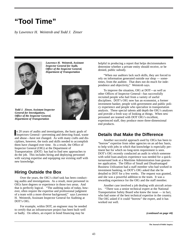# **"Tool Time"**

*by Lawrence H. Weintrob and Todd J. Zinser*



*Lawrence H. Weintrob, Assistant Inspector General for Audit, Office of the Inspector General, Department of Transportation*



*Todd J. Zinser, Assistant Inspector General for Investigations, Office of the Inspector General, Department of Transportation*

In 20 years of audits and investigations, the basic goals of Inspectors General—preventing and detecting fraud, waster n 20 years of audits and investigations, the basic goals of and abuse—have not changed. As with many crafts and disciplines, however, the tools and skills needed to accomplish them have changed over time. As a result, the Office of Inspector General (OIG) at the Department of Transportation (DOT) has had to find new approaches to do the job. This includes hiring and deploying personnel with varying expertise and equipping our existing staff with new knowledge.

## **Hiring Outside the Box**

Over the years, the OIG's chief task has been conducting audits and investigations. As a result, most personnel in OIGs have degrees or experience in those two areas. And that is perfectly logical. "The auditing tasks of today, however, often require the expertise and professional judgment of a team with a more diverse background," says Lawrence H. Weintrob, Assistant Inspector General for Auditing at DOT's OIG.

For example, within DOT, an engineer may be needed to certify that an infrastructure project has been built well or badly. On others, an expert in bond financing may be

helpful in producing a report that helps decisionmakers determine whether a private entity should receive, or be denied, public subsidy.

"When our auditors lack such skills, they are forced to rely on information generated outside our shop — sometimes, from the auditee. That does not do much for independence and objectivity," Weintrob says.

To improve the situation, OIG at DOT—as well as other Offices of Inspector General—has successfully recruited people who hail from a variety of useful disciplines. DOT's OIG now has an economist, a former investment banker, people with government and public policy experience and people who specialize in transportation analysis. These special talents add depth the OIG's analyses and provide a fresh way of looking at things. When new personnel are teamed with DOT OIG's excellent, experienced staff, they produce more three-dimensional end products.

## **Details that Make the Difference**

Another successful approach used by OIGs has been to "borrow" expertise from other agencies on an ad-hoc basis, to help with jobs in which that knowledge is especially pertinent but for which no long-term requirement is seen. DOT's OIG recently conducted an audit in which someone with solid loan-analysis experience was needed for a quickturnaround look at a Maritime Administration loan guarantee application. The Office of Small and Disadvantaged Business Utilization had a staff member who had worked in investment banking, so DOT's OIG asked that she be detailed to DOT for a few weeks. The request was granted, and she was a powerful addition to the team. It was a rewarding experience for the OIG and the staff member.

Another case involved a job dealing with aircraft avionics. "There was a senior technical expert at the National Transportation Safety Board who knew the issue — in fact, who had some of the best technical expertise in the country. The OIG asked if it could "borrow" the expert, and it has worked out well.

*(continued on page 44)*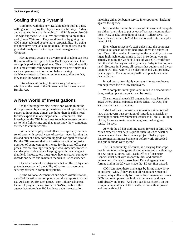## **Scaling the Big Pyramid**

Combined with this new available talent pool is a new willingness to deploy the players in a flexible way. "Most audit organizations are hierarchical— GS-15s supervise GS-14s who supervise GS-13s. We are working to break this mold," says Weintrob. They are doing this by giving the OIG's most talented people more responsibility. By doing this they have been able to get quick, thorough results and provided timely advice to Department managers and Congress.

Having ready access to a diverse pool of talent can help IGs more often live up to Yellow Book expectations. One concept is particularly pertinent. That is the idea that auditing is most worthwhile when management gets timely, relevant and persuasive information before making decisions—instead of just telling managers, after the fact, they made the wrong ones.

It translates, ultimately, to measuring outcome which is at the heart of the Government Performance and Results Act.

## **A New World of Investigations**

On the investigative side, where one would think the skills possessed by a strong investigator would position that person to investigate almost anything, there is still a need for new expertise in one major area — computers. The investigators the OIG hires must know how to use computers to help fight crime, and they must know how computers are used to commit crimes.

For Federal employees of all sorts—especially the seasoned ones with several years of service—even learning the ins and outs of a new software upgrade can spell frustration. But the OIG stresses that in investigations, it is not just a question of being computer-literate for the usual office purposes. We are dealing with people who know how to write and decipher code and are keeping up with the changes in that field. Investigators must know how to search computer records and seize and maintain records to use as evidence.

One other area of investigations that is affected by computers is security and the ability of hackers to overcome security barriers in computer systems.

At the National Aeronautics and Space Administration, a staff of investigative computer specialists reports to a special Assistant IG for such issues. Tom Talleur, advanced technical programs executive with NASA, confirms the agency has more than 100 incidents under investigation

involving either deliberate service interruption or "hacking" against the agency.

Most malefactors in the misuse of Government computers either "are trying to put us out of business, communications-wise, or take something of value," Talleur says. To deal with such issues, NASA has authorized a staff complement of 18.

Even when an agency's staff delves into the computer world to get ahead of cyber-bad-guys, there is a silver lining. One of the results of developing the capability to investigate high-technology crime is that, in so doing, you are actually moving the work skill sets of your OIG workforce into the 21st Century as fast as you can. Why is that important? Because in 5 years, all records that auditors and investigators will deal with will be electronic and will probably be encrypted. The community will need people who can deal with that.

In addition, a few highly computer-literate employees can help teach their fellow employees.

With computer-intelligent talent much in demand these days, setting up a strong team can be costly.

Zinser notes that each IG organization may have other areas where special expertise makes sense. At DOT, one such area is the environment.

"Much of the crime we pursue involves violations of laws that govern transportation of hazardous materials or oversight of such environmental insults as oil spills. In light of this, hiring an environmental engineer makes great sense," he says.

As with the ad-hoc auditing teams formed at OIG-DOT, "Such expertise can help us probe such issues as whether the managers of an infrastructure project filed a proper Environmental Impact Statement before work proceeded and public funds were spent."

The IG community, of course, is a varying landscape that is home to the long-established talents and a wide range of new potential ones. Still, each Office of Inspector General must deal with responsibilities and missions undreamed of when its associated Federal agency was formed and in the 20 years since the IG Act first passed.

OIGs can meet these challenges by hiring a new array of staffers—who, if they are not all renaissance men and women, may collectively form some fine renaissance teams. OIGs can re-empower the highly experienced and loyal staff already on board. And they can focus closely on the computer capabilities of their staffs, to boost their power and productivity.❏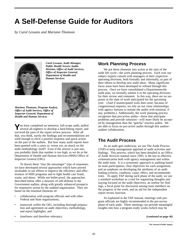# **A Self-Defense Guide for Auditors**

*by Carol Lessans and Mariann Thomson*



*Carol Lessans, Audit Manager, Public Health Service Audits Division, Office of Audit Services, Office of Inspector General, Department of Health and Human Services*



*Mariann Thomson, Program Analyst, Office of Audit Services, Office of Inspector General, Department of Health and Human Services*

**Y**ou have completed an intensive, full-scope audit, pulled several all-nighters to develop a hard-hitting report, and survived the pain of the report review process. After all that, you think, surely the findings and recommendations are solid enough to elicit a positive response and quick action on the part of the auditee. But how many audit reports have been greeted with a yawn or, worse yet, an attack on the audit methodology itself? Even if the answer is just one, you probably think that number is too high, as we do at the Department of Health and Human Services (HHS) Office of Inspector General (OIG).

To thwart these "slay the messenger" type of responses, we have developed several approaches which have proved invaluable in our efforts to improve the efficiency and effectiveness of HHS programs and to fight health care fraud, waste, and abuse. While not bullet-proof, the approaches described below offer a measure of self-defense to the Government auditor, along with greatly enhanced prospects for responsive action by the audited organization. They are based on the essential elements of:

- collaboration with program officials and with other Federal and State organizations,
- teamwork within the OIG, including thorough preparation and agreement on audit objectives, methodology, and report highlights, and
- timeliness and therefore relevancy.

## **Work Planning Process**

We put these elements into action at the start of the audit life cycle—the work planning process. Each year our subject experts consult with managers of their respective operating divisions, both formally and informally, as part of their efforts to develop new audit ideas. Many significant focus areas have been developed or refined through this process. Once we have consolidated a Departmentwide audit plan, we formally submit it to the operating divisions for their review and comment. In this way, there are no surprises in the slate of work anticipated for the upcoming year. (And if unanticipated work does arise, because of congressional requests, we rely on our close relationships with agency liaisons to initiate the audits with minimal, if any, problems.) Additionally, the work planning process recognizes that pro-active audits—those that anticipate problems and provide solutions—will more likely be accepted by management than the "gotcha" reactive audits. We are able to focus on pro-active audits through this auditorauditee collaboration.

## **The Audit Process**

As an audit gets underway, we use The Audit Process (TAP) to keep management apprised of audit activities and findings. This process, which has been detailed in an Office of Audit Services manual since 1993, is the key to effective communication both with agency management and within the audit team. It is a systematic approach to auditing based on team participation, clear objectives for each assignment, and an emphasis on developing the attributes of an audit finding (criteria, condition, cause, effect, and recommendation). To apply TAP during each phase of the audit, we use a standard worksheet as a tool for organizing thoughts and staying focused on the audit objectives, an outline for findings, a focal point for discussion among team members on the progress of the work, and an aid for the independent report review function.

As explained in the TAP manual, meetings with program officials are highly recommended in the pre-survey phase of each audit. These meetings can provide meaningful insights into how a program really works (which may be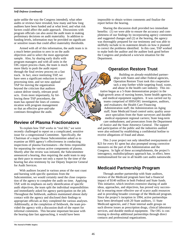#### *Self-Defense (continued)*

quite unlike the way the Congress intended), what other audits or reviews have revealed, how many and how long auditees have been funded and at what level, and what risk factors could affect the audit approach. Discussions with program officials can also assist the audit team in making preliminary decisions on audit materiality. In addition to funding levels, information may be provided on significant or sensitive issues that could affect materiality thresholds.

Armed with all of this information, the audit team is in

a much better position to zero in on the audit objectives and to select the most appropriate sample. Also, by sharing early drafts with program managers and with all units in the OIG report process chain, the team is much more likely to push the audit report through the final review process on a fast track. In fact, since instituting TAP, we have seen a significant reduction in report processing time, and we now applaud TAP for moving the organization beyond the criticism that auditors cannot deliver timely, relevant products. Even more importantly, by following these TAP procedures, the team has opened the lines of communication with program management so that an effective give-and-take continues throughout the audit.

## **Review of Plasma Fractionators**

To explain how TAP works in "real life," we were recently challenged to report on a complicated, sensitive issue for a congressional Committee. Specifically, the Chairman of a major House Subcommittee asked us to examine an HHS agency's effectiveness in conducting inspections of plasma fractionators—the firms responsible for separating the various active components of plasma. Shortly after the review was initiated, the Subcommittee announced a hearing, thus requiring the audit team to step up their pace to ensure not only a report by the time of the hearing but also testimony by our Deputy Inspector General for Audit Services.

With auditors located in various areas of the east coast and bursting with specific questions from the Subcommittee, we would certainly need the close cooperation of the agency to complete the audit on time. Applying TAP, with its emphasis on early identification of specific audit objectives, the team split the individual responsibilities and immediately asked for agency participation on the job. Throughout the fieldwork, auditors maintained almost daily contact with the agency and disclosed their findings to appropriate officials as they completed the various analyses. Additionally, at the completion of fieldwork, the team provided the agency with a discussion draft of the report for informal comments. This became important because with the hearing date fast approaching, it would have been

impossible to obtain written comments and finalize the report before the hearing.

Sharing the discussion draft provided two immediate benefits: (1) we were able to ensure the accuracy and completeness of our findings by incorporating agency comments and suggested changes and (2) at the hearing, the agency was thoroughly prepared for our testimony and was able to skillfully include in its statement details on how it planned to correct the problems identified. In this case, TAP worked to make both the auditor and the auditee look good before the Congress and produced a win/win situation for the Department.

## **Operation Restore Trust**

Building on already-established partnerships with States and other Federal agencies, Operation Restore Trust took this cooperative tack a step further while targeting fraud, waste, and abuse in the health care industry. This initiative began as a 5-State demonstration project in the high-growth areas of nursing homes, home health agencies, and medical equipment suppliers. It was carried out by teams comprised of HHS/OIG investigators, auditors, and evaluators; the Health Care Financing Administration staff; the Administration on Aging staff; State Medicaid fraud control units; quality assurance specialists from the State surveyors and durable medical equipment regional carriers; State long-term care ombudsmen; and prosecutors from the Department of Justice and the State Attorneys General. The support and participation of the public and the industries audited were also enlisted by establishing a confidential hotline to receive allegations of fraud and abuse.

This 2-year project not only identified overpayments of \$23 for every \$1 spent but also prompted strong corrective measures on the part of the Administration and the Congress. In light of these accomplishments, the project's interagency, multidisciplinary approach has, in effect, been institutionalized for use in all health care audits nationwide.

## **Medicaid Partnership Program**

Through another partnership with State auditors, reviews of the Medicaid program have had a financial impact of \$140 million in both Federal and State funds. This initiative, which involves extensive sharing of audit ideas, approaches, and objectives, has proved very successful in ensuring more effective use of scarce audit resources and in providing broader coverage of the Medicaid program. Since the project's inception in 1994, active partnerships have been developed with 20 State auditors, 11 State Medicaid agencies, and 2 State internal audit groups on such diverse issues as prescription drugs, clinical laboratory services, and durable medical equipment. The OIG is continuing to develop additional partnerships through direct contacts and professional organizations.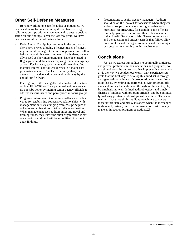## **Other Self-Defense Measures**

Beyond working on specific audits or initiatives, we have used many forums—some quite creative—to forge solid relationships with management and to ensure positive action on our findings. Over the last few years, we have been successful in the following efforts:

- Early Alerts. By nipping problems in the bud, early alerts have proved a highly effective means of conveying our audit message at the most opportune time, often before the audit is even completed. Such alerts, generally issued as short memorandums, have been used to flag significant deficiencies requiring immediate agency action. For instance, early in an audit, we identified material internal control weaknesses in a major data processing system. Thanks to our early alert, the agency's corrective action was well underway by the end of our fieldwork.
- Focus groups. We have gathered valuable information on how HHS/OIG staff are perceived and how we can do our jobs better by inviting senior agency officials to address various issues and perceptions in focus groups.
- Program conferences. Conferences offer an excellent venue for establishing cooperative relationships with management on issues ranging from cost principles at colleges and universities to tribal self-determination. When management sees auditors investing travel and training funds, they know the audit organization is serious about its work and will be more likely to accept audit findings.

Presentations to senior agency managers. Auditors should be on the lookout for occasions where they can address groups of managers during nonadversarial meetings. At HHS/OIG, for example, audit officials routinely give presentations on their roles to senior Indian Health Service officials. These presentations, and the question and answer periods that follow, allow both auditors and managers to understand their unique perspectives in a nonthreatening environment.

## **Conclusions**

Just as we expect our auditees to continually anticipate and prevent problems in their operations and programs, so too should we—the auditors—think in preventive terms visa-vis the way we conduct our work. Our experience suggests that the best way to develop this mind set is through an organizational climate of corroboration and clear direction; that is, by embracing partnerships with program officials and among the audit team throughout the audit cycle, by emphasizing well-defined audit objectives and timely sharing of findings with program officials, and by continually fostering positive relationships with auditees. The clear reality is that through this audit approach, we can avert those unfortunate and messy instances when the messenger is slain and, instead, build on our arsenal of trust to really make an impact on program operations.❏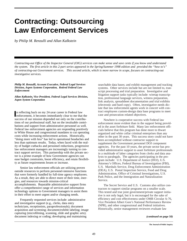# **Contracting: Outsourcing Law Enforcement Services**

*by Philip M. Renzulli and Allan Kalkstein*

*Contracting-out Office of the Inspector General (OIG) services can make sense and save cents if you know and understand the system. The first article in this 2-part series appeared in the Spring/Summer 1998 edition and provided the "how to's" of contracting-out Government services. This second article, which is more narrow in scope, focuses on contracting-out investigative services.* 

*Philip M. Renzulli, Account Executive, Federal Legal Services Division, Aspen Systems Corporation, Retired Federal Law Enforcement*

*Allan Kalkstein, Vice President, Federal Legal Services Division, Aspen System Corporation*

In reflecting back on my 24-year career in Federal law<br>
enforcement, it becomes immediately clear to me that the n reflecting back on my 24-year career in Federal law success of our mission depended not only on the contributions of our professional staff, but on the invaluable contributions and support from administrative personnel as well. Federal law enforcement agencies are responding positively to White House and congressional mandates to cut operating costs while increasing enforcement actions. Historically, "doing more with less" has led to operational headaches and less than optimum results. Today, when faced with the reality of budget cutbacks and personnel reductions, progressive law enforcement managers are increasingly turning to contract support services. This partnership with the private sector is a prime example of how Government agencies can ease budget constraints, boost efficiency, and retain flexibility as future requirements lessen or increase.

Senior law enforcement officials are utilizing proven outside resources to perform personnel-intensive functions that were formerly handled by full-time agency employees. As a result, they are able to direct more of their time, energies, and resources towards mission-critical accomplishments. Reputable administrative support firms offer a comprehensive range of services and information technology options to Government managers to assist them in their effort to meet urgent and/or changing needs.

Frequently requested services include: administrative and investigative support (e.g., clerks, data entry technicians, receptionists, paraprofessionals); document acquisition and screening; document/exhibit labeling; image capturing (microfilming, scanning, slide and graphic arts); document indexing or coding; developing and maintaining

searchable data bases; and exhibit management and tracking systems. Other services include but are not limited to, transcript processing and trial preparation. Investigative and litigation support tasks typically include: wiretap transcription, professional language services, witness preparation, link analysis, spreadsheet documentation and trial exhibits (electronic and hard copy). Often, investigative needs dictate that law enforcement agents work in concert with contract employees custom-design data base programs to meet case and prosecution related objectives.

Nowhere is cooperative success with Federal law enforcement more evident than in the support being provided in the asset forfeiture field. Many law enforcement officials believe that this program has done more to thwart organized and white collar criminal enterprises than any other in the past 30 years. This success story could not have been accomplished without contractor support to supplement the Government personnel DOJ component agencies. For the past 10 years, the private sector has provided administrative support to asset forfeiture professionals in a multitude of labor categories from clerks and data analysts to paralegals. The agencies participating in the program include: U.S. Department of Justice (DOJ), U.S. Attorney's Offices, Federal Bureau of Investigation (FBI), U.S. Marshals Service, Drug Enforcement Administration (DEA), U.S. Postal Inspection Service, Food and Drug Administration, Office of Criminal Investigations, U.S. Park Police, and the Immigration and Naturalization Service.

The Secret Service and U.S. Customs also utilize contractors to support similar programs on a smaller scale. This tested and true joint government/private support initiative is not only legal, but it is encouraged for the sake of efficiency and cost effectiveness under OMB Circular A-76, Vice President Albert Gore's National Performance Review (NPR), and other congressional and Federal initiatives. Historically, senior management reviewers evaluate law

*(continued on page 50)*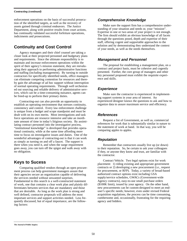#### *Contracting (continued)*

enforcement operations on the basis of successful prosecution of the identified targets, as well as the recovery of assets gained through criminal endeavors. The Justice Department, along with positive results from court actions, has continually validated successful forfeiture operations, indictments and prosecutions.

## **Continuity and Cost Control**

Agency managers and their chief counsel are taking a closer look at their projected personnel and budgetary plans and requirements. Since the ultimate responsibility is to maintain and increase enforcement operations within the spirit of their agency's mission statement, they are reevaluating their approach to performing administrative functions and staffing (including management). By turning to outside contractors for specifically identified needs, office managers can eliminate competing contention for resources and thereby gain the advantage of ad hoc support without interruption of normal operating requirements. Through well orchestrated out sourcing and reliable delivery of administrative services, which can be a time-consuming nuisance, agents can be freed-up to perform their primary duties.

Contracting-out can also provide an opportunity to establish an operating environment that stresses continuity, consistency and control. Every law enforcement challenge is unique from a budget and scope standpoint and must be dealt with on its own merits. Most investigations and task force operations are resource intensive and take an inordinate amount of time in today's litigious society. By assimilating contract personnel into the investigative process, "institutional knowledge" is developed that provides operational continuity, while at the same time affording more time to focus on investigative issues and duties. One of the wonderful advantages of contracting-out is that it can work as simply as turning on and off a faucet. The support is there when you need it, and when the surge requirement goes away, you can turn off the spigot and walk away with no obligation.

## **Keys to Sucess**

Comparing qualified vendors through an open procurement process can help government managers assure that their agencies secure an organization capable of delivering the services needed without unwanted surprises. Fundamental to this search is a well-constructed statement of work, one that contains a clear work plan and plainly differentiates between services that are mandatory and those that are desirable. As long as the work plan is strong and well defined, contractor proposals will address the most important services and support activities needed. Less frequently discussed, but of equal importance, are the following factors:

#### **Comprehensive Knowledge**

Make sure the support firm has a comprehensive understanding of your situation and needs or, your "mission". Expertise in one or two areas of your project is not enough. The firm should exhibit an obvious knowledge of all facets through the questions posed, depth and expertise of their staff, offering cogent and supportable approaches to the solution and by demonstrating they understand the context of your needs, as well as the needs themselves.

#### **Management and Personnel**

The proposal for establishing a management plan, on a contract and project basis, must be cohesive and cogently presented. Further, the core group of managers and other key personnel proposed must exhibit the requisite experience and skills.

#### **Experience**

Make sure the contractor is experienced in implementing support systems in your area of interest. An experienced designer knows the questions to ask and how to organize data to assure maximum service and efficiency.

#### **References**

Request a list of Government, as well as, commercial references for work that is substantially similar in nature to the statement of work at hand. In that way, you will be comparing apples to apples.

#### **Reputation**

Remember that contractors usually live up (or down) to their reputation. So, be certain to ask your colleagues if they, or anyone they know and trust, are familiar with the contractor.

Contract Vehicle. Two legal options exist for work placement: 1) riding existing and appropriate government contracts or 2) developing a new procurement (i.e., request for procurement, or RFP). Today, a variety of broad-based authorized contract options exist including GSA supply/service schedules, GWACs (Government-wide Agency contracts), easy-to-use small purchase orders (\$100K limit), issued by your agency. On the other hand, new procurements can be custom-designed to meet an enduser's specific needs; however, even under revised Federal acquisition regulations, the process can be time consuming, cumbersome and, occasionally, frustrating for the requiring agency and bidders.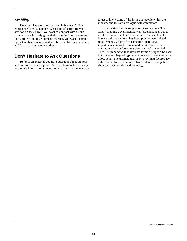#### **Stability**

How long has the company been in business? How experienced are its people? What kind of staff turnover or attrition do they have? You want to contract with a solid company that is firmly grounded in the field and committed to its growth and development. Further, you want a company that is client-oriented and will be available for you when, and for as long as you need them.

## **Don't Hesitate to Ask Questions**

Refer to an expert if you have questions about the pros and cons of contract support. Most professionals are happy to provide information to educate you. It's an excellent way to get to know some of the firms and people within the industry and to start a dialogue with contractors.

Contracting out for support services can be a "life saver" enabling government law enforcement agencies to meet mission-critical and time-sensitive needs. Due to bureaucratic restrictions, legal and procurement-related requirements, which often constitute operational impediments, as well as increased administrative burdens, our nation's law enforcement efforts are often stymied. Thus, it's imperative that alternate forms of support be used that transcend beyond typical methods and current resource allocations. The ultimate goal is on providing focused law enforcement free of administrative burdens — the public should expect and demand no less.❏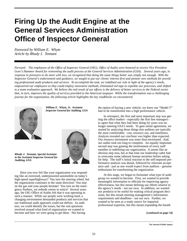# **Firing Up the Audit Engine at the General Services Administration Office of Inspector General**

*Foreword by William E. Whyte Article by Rhudy J. Tennant*

*Forward: The employees of the Office of Inspector General (OIG), Office of Audits were honored to receive Vice President Gore's Hammer Award for reinventing the audit process at the General Services Administration (GSA). Several years ago, in response to pressures to do more with less, we recognized that doing the same things better was simply not enough. With the Inspector General's endorsement and guidance, we sought to put our clients' interest first and pioneer new methods for providing professional audit products and services. To accomplish the task, we redefined our role in light of the agency's needs, empowered our employees so they could employ innovative methods, eliminated red tape to expedite our processes, and shifted to a team evaluation approach. We believe the end result of our efforts is the delivery of better services to the Federal sector that, in turn, improves the quality of services provided to the American taxpayer. While the transformation was a challenging journey for the organization, the following article highlights the key roadblocks we encountered.* 



*William E. Whyte, Jr. Assistant Inspector General for Auditing, GSA*



*Rhudy J. Tennant, Special Assistant to the Assistant Inspector General for Auditing, GSA*

Have you ever felt like your organization was responding like an oversized, underpowered automobile on today's high-speed superhighways? You turn the steering wheel, but the organization continues in the same direction! You step on the gas and your people hesitate! You turn on the emergency flashers, yet nobody seems to notice! Several years ago, the OIG Office of Audits felt that it was operating in such a manner. While our people were working hard, a changing environment demanded products and services that our traditional audit approach could not deliver. As auditors, we could identify the issues, but the real questions revolved around what kind of organization we wanted to become and how we were going to get there. Not having

the option of buying a new vehicle, we knew our "Model T" had to be transformed into a high performance vehicle.

In retrospect, the first and most important step was getting the office leaders - especially the first line managers to agree that what they had been doing for years was no longer meeting GSA's needs. To gain initial agreement, we started by analyzing those things that auditors are typically the most comfortable: cost, resource use, and timeliness. Analysis revealed our cost/hour was higher than expected. Our resource investment was more than envisioned. And, our audits took too long to complete. An equally important second step was gaining the involvement of every staff member in redefining our organization. It seems like an obvious step now, but at that time our leadership cadre had to overcome some inherent human anxieties before asking for help. The staff's initial reaction to the self-imposed performance analysis was denial, followed by reluctant acceptance and - just as one would expect from auditors - genuine enthusiasm for transforming the organization.

At this stage, we began to formulate what type of audit group we wanted to become. First, we wanted to provide meaningful information to officials for improving agency effectiveness, but this meant defining our efforts relative to the agency's needs - not our own. In addition, we wanted our products to be useful for making critical program decisions, but this meant meeting management's information requirements and deadlines - not our own. Further, we wanted to be seen as a ready source for impartial professional expertise, but this meant expanding the breath

*(continued on page 54)*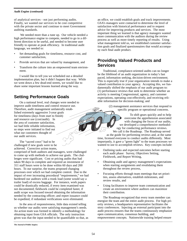#### *Audit Engine (continued)*

of analytical services - not just performing audits. Finally, we wanted our services to be cost competitive with the private sector and continue to meet Government auditing standards.

We needed more than a tune up. Our vehicle needed a high performance engine to compete, needed to go in a different direction to be useful, and needed to become user friendly to operate at peak efficiency. In traditional audit language, we needed to:

- Set demanding goals for timeliness, resource cost, and customer satisfaction,
- Provide services that are valued by management, and
- Transform the culture into an empowered team environment.

I would like to tell you we scheduled out a detailed implementation plan, but it didn't happen that way. While we went down a few dead-end streets, we would like to share some important lessons learned along the way.

## **Setting Performance Goals**

On a national level, real changes were needed to improve audit timeliness and control resource use. Therefore, audit management unilaterally established extremely aggressive 3-year goals for timeliness (days from start to finish) and resource use (cost/audit). In the area of customer satisfaction, we had little reliable information, so steps were initiated to find out what our customers thought of our audit services.

The "sacred cows" had to be challenged if new goals were to be achieved. Corrective action teams,

comprised of both auditors and managers, were challenged to come up with methods to achieve our goals. The challenges were significant. Cost or pricing audits that had taken 90 days to complete and required an investment of 311 staff hours were to be done within 60 days and 200 hours. To our surprise, the teams proposed changing processes over which we had complete control. Due to the impact of ever increasing procedural "requirements," we had burdened our auditors with a trunk load (some would say a trailer load) of excess baggage. For instance, work papers could be drastically reduced, if every item examined was not documented; fieldwork could be completed faster, if audit scope was focused toward obtaining the information needed by the contracting officer; and report issuance could be expedited, if redundant verifications were eliminated.

In the area of responsiveness, little data existed telling us whether our audits were satisfying management's needs. An action team was formed to identify a methodology for obtaining input from GSA officials. The only instruction given was that the input needed to be quantifiable so that, as an office, we could establish goals and track improvements. GSA's managers were contacted to determine the level of satisfaction with historical performance and to request advice for improving products and services. The most important thing we learned is that agency managers wanted more communication with the auditors during the review process as well as more timely reporting of results. Using what management told us, we established customer satisfaction goals and finalized questionnaires that would accompany each final audit product.

## **Providing Valued Products and Services**

Traditional, compliance-oriented audits can no longer be the lifeblood of an audit organization in today's fast paced, information seeking, decision-driven environment. This is especially true if your organization intends to make a valued contribution to your agency. Accepting this, we fundamentally shifted the emphasis of our audit program to: (1) performance reviews that seek to determine whether an activity is meeting Congressional, agency, and customer expectations, operating cost-effectively, and receiving reliable information for decision-making; and

> (2) management assistance services that respond to specific program or operational concerns.

> > To shift gears quickly and to help overcome the apprehension associated with changing the focus of our audits, we developed a comprehensive methodology for conducting performance reviews.

We call it the Roadmap. The Roadmap served as the guide for performing reviews and, at the same time, licensed everyone to conduct audits differently. Most importantly, it gave a "green light" to the team processes we wanted to use to accomplish reviews. Key concepts include:

- Outlining tasks and expected outcomes before starting each audit phase: Survey, Objectives Setting, Fieldwork, and Report Writing,
- Obtaining audit and agency management's expectations when starting assignments and revalidating them throughout the review process,
- Focusing efforts through team meetings that set priorities, assess alternatives, establish milestones, and review results, and
- Using facilitators to improve team communication and create an environment where auditors can maximize their contribution.

The Roadmap recognized that every team member can energize the team and the entire audit process. For high priority reviews, a headquarters representative facilitates the story conferences. Injecting an external participant into the audit process ensures that the teams continuously emphasize open communication, consensus building, and empowerment concepts. Nationwide training helped ensure

**The Journal of Public Inquiry**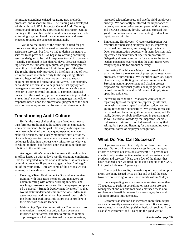no misunderstandings existed regarding new methods, processes, and responsibilities. The training was developed jointly with the USDA, Inspector General Audit Training Institute and presented by a professional instructor. Unlike training in the past, line auditors and their managers attended training together, heard the same message, and were expected to apply the concepts immediately.

We knew that many of the same skills used for performance auditing could be used to provide management assistance services, but first we had to define the nature of services to be provided. We began by offering consulting services designed to be quick responses to specific concerns - usually completed in less than 60 days. Because consulting services are initiated by request, we gave management the ability to both define and limit the scope of the effort. The results (frequently provided by briefings in lieu of written reports) are distributed only to the requesting official. We also began offering proactive assistance to support ongoing program and operational initiatives. For example, our auditors are available to help ensure that appropriate management controls are provided when reinventing systems or to offer potential solutions to complex financial issues. For the most part, proactive assistance is provided in a "real time" environment where managers get immediate responses based upon the professional judgment of the auditor - not formal opinions that follow detailed assessments.

## **Transforming Audit Culture**

By far, the most challenging issue faced was how to transform our traditional audit culture into an empowered team environment. In the past, like many audit organizations, we maintained the status quo, expected managers to make all decisions, and closely monitored staff activities. Our challenge was to create an environment where auditors no longer looked into the rear view mirror to see who was checking on them, but focused upon maximizing their contribution to the audit team.

An organization's culture is the means through which an office keeps up with today's rapidly changing conditions. Like the integrated systems of an automobile, all areas must be working together if you want to get the best "mileage" out of the your staff. Here are some of the actions we took to energize the audit environment:

- Creating a Team Environment Our auditors received training with their team members and managers on communicating with others, working in teams, and reaching consensus on issues. Each employee completed a personal "Strength Deployment Inventory" so they would better understand team interactions. Also, managers received additional training geared toward shifting from their traditional role as project controllers to their new role as team leaders.
- Maintaining Open Communication Continuous communication is needed not only to keep everyone informed of initiatives, but also to minimize rumors. Top management held semiannual manager meetings,

increased teleconferences, and briefed field employees directly. We constantly reinforced the importance of two-way communication among peers, within teams, and between operating levels. We also stressed that good communication requires accepting feedback as input, not as criticism.

- Empowering Employees Greater participation was essential for increasing employee buy-in, improving individual performance, and energizing the teams. Open communication coupled with team decision-making created an environment ripe for empowerment. Delegating signature authority for audits to the team leaders persuaded everyone that the audit teams were really responsible for product delivery.
- Eliminating Roadblocks Many of our roadblocks emanated from the existence of prescriptive regulations, processes, or procedures. We identified over 500 pages of restrictive, conflicting, or outdated requirements. Stressing team empowerment and placing greater emphasis on individual professional judgment, we condensed our audit manual to 30 pages of simply stated operating guidance.
- Increasing Recognition Managers were schooled regarding types of recognition (especially informal, non-cash, and peer-to-peer) and given guidelines for giving recognition successfully. We greatly increased individual and team recognition (letters, notes, and Email), desktop symbols (coffee cups & paperweights), as well as formal awards by the Inspector General. Extensive efforts were directed toward realizing that asking for input and listening for understanding were important forms of employee recognition.

## **What Do You Call Success?**

Organizations need to clearly define how to measure success. Our organization sees success in continuing our efforts to achieve our mission statement: "To provide our clients timely, cost-effective, useful, and professional audit products and services." Here are a few of the things that have changed since we fired up the audit engine at the GSA OIG just a little over 3 years ago:

Cost or pricing audits, the mainstay of our contract program, are being issued twice as fast and at half the cost. Now, we are striving to issue these audits within 30 days.

Since expanding services, we have received more than 70 requests to perform consulting or assistance projects. Management and our auditors have embraced these new services as a beneficial means for assessing options and adopting process improvements.

Customer satisfaction has increased more than 30 percent and currently averages about 4.6 on a 5.0 scale. And, we are regularly receiving positive feedback, such as "I am a satisfied customer" and " Keep up the good work."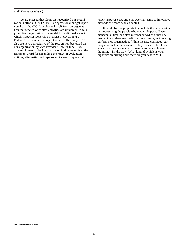#### *Audit Engine (continued)*

We are pleased that Congress recognized our organization's efforts. Our FY 1996 Congressional budget report noted that the OIG "transformed itself from an organization that reacted only after activities are implemented to a pro-active organization ... a model for additional ways in which Inspector Generals can assist in developing a Federal Government that operates more effectively." We also are very appreciative of the recognition bestowed on our organization by Vice President Gore in June 1998. The employees of the OIG Office of Audits were given the Hammer Award for expanding the range of evaluation options, eliminating red tape so audits are completed at

lower taxpayer cost, and empowering teams so innovative methods are more easily adopted.

It would be inappropriate to conclude this article without recognizing the people who made it happen. Every manager, auditor, and staff member served as a first line mechanic and deserves credit for transforming us into a high performance organization. While the race continues, our people know that the checkered flag of success has been waved and they are ready to move on to the challenges of the future. By the way, "What kind of vehicle is your organization driving and where are you headed?"❏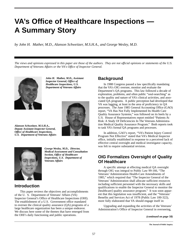# **VA's Office of Healthcare Inspections — A Summary Story**

*by John H. Mather, M.D., Alanson Schweitzer, M.S.H.A., and George Wesley, M.D.*

*The views and opinions expressed in this paper are those of the authors. They are not official opinions or statements of the U.S. Department of Veterans Affairs or the VA's Office of Inspector General.*



*John H. Mather, M.D., Assistant Inspector General, Office of Healthcare Inspections, U.S. Department of Veterans Affairs*



*Alanson Schweitzer, M.S.H.A., Deputy Assistant Inspector General, Office of Healthcare Inspections, U.S. Department of Veterans Affairs*



*George Wesley, M.D., Director, Medical Assessment and Consultation Section, Office of Healthcare Inspections, U.S. Department of Veterans Affairs*

## **Introduction**

This paper reviews the objectives and accomplishments of the U. S. Department of Veterans' Affairs (VA) Inspector General's Office of Healthcare Inspections (OHI). The establishment of a U.S. Government office mandated to oversee the clinical quality assurance (QA) programs of a large healthcare organization has been a unique endeavor. We discuss here some of the themes that have emerged from the OHI's daily functioning and public operations.

## **Background**

In 1988 Congress passed a law specifically mandating that the VA's OIG oversee, monitor and evaluate the Department's QA programs. This law followed a decade of exploration, problems, and often public "soul-searching" as to the quality and nature of VA's clinical activities, and associated QA programs. A public perception had developed that VA was lagging, at least in the area of proficiency in QA processes. The June 1985 General Accounting Office (GAO) report, "VA Has Not Fully Implemented Its Health Care Quality Assurance Systems," was followed on its heels by a U.S. House of Representatives report entitled "Patients At Risk: A Study Of Deficiencies In The Veterans Administration Medical Quality Assurance Program." Both reports took to task VA's formal QA programs and processes.

In addition, GAO's report, "VA's Patient Injury Control Program Not Effective" stated that VA's Medical Inspector office, initially established in response to a perceived lack of effective central oversight and medical investigator capacity, was felt to require substantial revision.

## **OIG Formalizes Oversight of Quality Of Healthcare**

A specific attempt at effecting medical QA oversight through OIG was integral to Public Law 99-166, "The Veterans' Administration Health-Care Amendments of 1985," which required that "The Inspector General of the Veterans' Administration shall allocate sufficient resources including sufficient personnel with the necessary skills and qualifications to enable the Inspector General to monitor the [healthcare] quality assurance program." It was soon apparent that this legislation was insufficient, and the "Veterans' Benefits and Services Act of 1978 (Public Law 100-322), more fully elaborated that VA should engage itself in:

Upgrading and expanding the activities of the Veterans' Administration's Office of Inspector General in overseeing,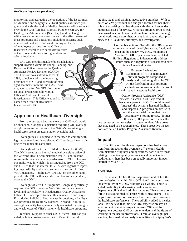#### *Healthcare Inspections (continued)*

monitoring, and evaluating the operations of the Department of Medicine and Surgery's [VHA's] quality-assurance programs and activities and its Medical Inspector office so as to provide the Chief Medical Director [Under Secretary for Health], the Administrator [Secretary], and the Congress with clear and objective assessments of the effectiveness of those programs and operations, including ensuring such numbers of, and such skills and training on the part of, employees assigned to the Office of Inspector General as are necessary to carry out such oversight, monitoring, and evaluation effectively.

VA's OIG met this mandate by establishing a support Division within its Policy, Planning, and Resources Office known as the Quality Assurance Review Division (QARD). This Division was staffed in 1989. In 1991, coincident with the increasing prominence of QA and oversight of managed healthcare systems, the QARD was upgraded to a full VA OIG directorate, co-equal organizationally with its Office of Audit and Office of Investigations. This Office was and is named the Office of Healthcare Inspections (OHI).

## **Approach to Healthcare Oversight**

From the outset, it became clear that OHI work would be abundant. Congress' legislation requiring OIG oversight of QA issues and activities in the Nation's largest single healthcare system created a major oversight task.

Oversight tasks, coupled with the need to comply with legislative mandates, have shaped OHI products into six distinctly recognizable categories.

Oversight of the Office of Medical Inspector (OMI): The OMI serves as an internal medical oversight office of the Veterans Health Administration (VHA), and in some sense might be considered a predecessor to OHI. However, one major way in which it is distinguished from the OIG and OHI, is that it is internal to VHA with regards to reporting responsibility and is also subject to the control of top VHA managers. Public Law 100-322, on the other hand, provides the OIG with a specific directive to independently oversee the OMI.

Oversight of VA's QA Programs: Congress specifically required the OIG to oversee VA's QA programs at every level, and particularly its Headquarters Quality Assurance Office. OHI attempted to meet this mandate in two ways. First, during individual Hotline case inspections, a facility's QA programs are routinely assessed. Second, OHI, in its oversight capacity has systematically evaluated the strengths and weaknesses of VHA's nationwide healthcare programs.

Technical Support to other OIG Offices: OHI has provided technical assistance to the OIG's audit, special

inquiry, legal, and criminal investigative branches. With so much of VA's personnel and budget allocated for healthcare, it is not surprising that healthcare activities will engender numerous issues for review. OHI has provided project technical assistance in clinical fields such as medicine, nursing, social work, respiratory therapy, nutrition, and clinical pharmacy to OIG auditors, attorneys, and investigators.

> Hotline Inspections: To fulfill the OIG organizational charge of identifying waste, fraud, and abuse in the agency, VA's OIG maintains a "hotline." OHI inspects healthcare–related Hotline allegations to independently address issues such as allegations of substandard care in a VA medical center.

Program Evaluations: Evaluations of VHA's nationwide clinical programs comprised an early and continuing effort by OHI. At the forefront of such program evaluations are assessments of current critical issues in veterans healthcare.

Quality Program Assistance (QPA) Reviews: As work in OHI evolved, it became apparent that OHI should indeed "inspect" the system's hospital facilities and inspect QA programs on-site, without the adversarial nature that may accompany a hotline review. To meet this need, OHI pioneered a consulta-

tive review system to assist managers in identifying areas that may need to be strengthened. These proactive inspections are called Quality Program Assistance Reviews.

#### **Impact**

The Office of Healthcare Inspections has had a most significant impact on the oversight of Veterans Health Administration programs and operations, particularly those relating to medical quality assurance and patient safety. Additionally, there has been an equally important impact internal to VA's OIG.

#### **External**

The advent of a healthcare inspections unit of healthcare professionals within VA's OIG significantly enhances the credibility of VA OIG products as a whole. There is added credibility in discussing healthcare issues. Department clinical and administrative staff have more comfort in discussing medical issues with clinical peers. This helps lower the wall of insularity that sometimes surrounds the healthcare professions. The credibility added is incalculable. We believe that this new OIG expertise creates an environment of mutual respect between OIG and the Department because OHI personnel understand the rigors of working in the health professions. From an oversight perspective, less medical anomaly is now likely to slip by VA's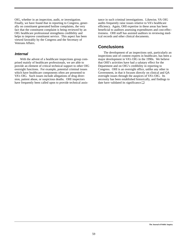OIG, whether in an inspection, audit, or investigation. Finally, we have found that in reporting to Congress, generally on constituent generated hotline complaints, the very fact that the constituent complaint is being reviewed by an OIG healthcare professional strengthens credibility and helps to improve constituent service. This aspect has been viewed favorably by the Congress and the Secretary of Veterans Affairs.

#### **Internal**

With the advent of a healthcare inspections group comprised mainly of healthcare professionals, we are able to provide an element of critical technical support to other OIG oversight functions. For example, potential criminal issues which have healthcare components often are presented to VA's OIG. Such issues include allegations of drug diversion, patient abuse, or suspicious deaths. OHI inspectors have frequently been called upon to provide technical assis-

tance in such criminal investigations. Likewise, VA OIG audits frequently raise issues relative to VA's healthcare efficiency. Again, OHI expertise in these areas has been beneficial to auditors assessing expenditures and cost-effectiveness. OHI staff has assisted auditors in reviewing medical records and other clinical documents.

### **Conclusions**

The development of an inspections unit, particularly an inspections unit of content experts in healthcare, has been a major development in VA's OIG in the 1990s. We believe that OHI's activities have had a salutary effect for the Department and on OIG's credibility in reporting to Congress. OHI is an oversight office, unlike any other in Government, in that it focuses directly on clinical and QA oversight issues through the auspices of VA's OIG. Its necessity has been established historically, and findings to date have validated its significance.❏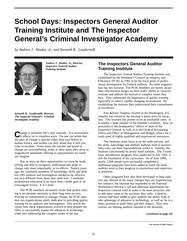# **School Days: Inspectors General Auditor Training Institute and The Inspector General's Criminal Investigator Academy**

*by Andrew J. Pasden, Jr., and Kenneth R. Loudermilk*



*Andrew J. Pasden, Jr., Director, Inspectors General Auditor Training Institute*



*Kenneth R. Loudermilk, Director, The Inspector General's Criminal Investigator Academy*

**C**hange is probably life's only constant. It is everywhere. It affects us in countless ways. No one can refute that the pace of change is quicker today than ever before in human history, and neither can they refute that it will continue to escalate. Some times the volume and speed of change are overwhelming, while at other times they serve as magnificent stimulants offering us opportunities we could not imagine.

But, to seize on these opportunities we must be ready, willing and able to recognize, understand and adapt to change and, more importantly, to its effects. Twenty years ago, the combined inventory of knowledge, skills and abilities OIG auditors and investigators needed to be effective are very different from those they need now. Continued professional education is far more than a noble goal or an extravagant luxury. It is a must.

The PCIE members are keenly aware that quality training is an absolute necessity to their long term success. Proving its commitment to manage change, the PCIE operates two organizations solely dedicated to providing quality training for its auditors and investigators. This article discusses how these organizations evolved to help prepare the OIGs to successfully master the advances in technology while also addressing the complex issues of the day.

## **The Inspectors General Auditor Training Institute**

The Inspectors General Auditor Training Institute was established by the President's Council on Integrity and Efficiency (PCIE) in 1991 to be the focal point of professional development for Federal auditors. No other organization has this mission. The PCIE members are keenly aware their effectiveness hinges on their staffs' ability to correctly evaluate and address the myriad of complex issues they face. They understand the importance of quality training, especially in today's rapidly changing environment. By establishing the institute they underscored their commitment to excellence.

Fort Belvoir, Virginia, located in the Washington, D.C. suburbs, has served as the Institute's home since its inception. This location has proven to be an invaluable asset. It is nearby a large number of the Institute's students. Also, its proximity to the headquarters' offices of most of the Inspectors General, as well as to the General Accounting Office and Office of Management and Budget, allows for a ready pool of highly qualified and experienced instructors.

The Institutes main focus is on the audit process, and the skills, knowledge and abilities auditors need to successfully carry out their responsibilities within it. Initially, the Institute concentrated on newly hired auditors. The 3-week basic introductory program, first conducted in July 1991, is still the foundation of the curriculum. As of June 1998, nearly 1,000 people have successful completed it. Additional programs have been added to teach the skills auditors need as they progress to journeyman and supervisory positions.

Other programs have also been developed to help auditors stay abreast of the many changes they are experiencing. For instance, the Institute has responded to the National Performance Review's call and addresses adjustments the Inspectors General need to make to be more proactive and to add more value to the activities they audit. Likewise, courses had been added to give auditors the ability both to take advantage of advances in technology, as well as, be in a better position to audit them and their impact. Also, new courses are helping auditors respond to the demands

*(continued on page 62)*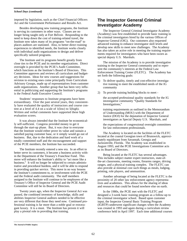#### *School Days (continued)*

imposed by legislation, such as the Chief Financial Officers Act and the Government Performance and Results Act.

Besides developing new training programs, the Institute is serving its customers in other ways. Classes are no longer being taught only at Fort Belvoir. Responding to the need to keep down the cost of training-related travel, the Institute now takes many of its programs "on-the-road" to places auditors are stationed. Also, to better direct training experiences to identified needs, the Institute works closely with individual audit organizations to design and deliver specifically tailored programs.

The Institute and its programs benefit greatly from close ties to the PCIE and its member organizations. Direct oversight is provided by the PCIE's Audit Committee, which functions as the Institute's Board of Directors. This Committee approves and reviews all curriculum and budgetary decisions. Ideas for new courses and suggestions for revision to existing ones come principally from Curriculum Advisory Groups, made up of representatives from customer audit organizations. Another group that has been very influential in publicizing and supporting the Institute's programs is the Federal Audit Executive Council.

Students' responses to Institute programs have been extraordinary. Over the past several years, they consistently have evaluated the quality of instructors and course content at a level of 4.4 on a scale of 1(low) to 5(high). Written and verbal comments have supported these high evaluation scores.

It was always intended that the Institute be economically self-sufficient. Congress provided money to get it through the start-up phase. But, it was clear to everyone that the Institute would either prove its value and sustain a satisfied paying customer base, or it simply would go out of business. But, due to the dedication and hard work of a totally committed staff and the encouragement and support of the PCIE members, the Institute has succeeded.

The Institute recently entered a new era. In an effort to better serve its customers, it became a business activity within the Department of the Treasury's Franchise Fund. This move will enhance the Institute's ability to "act more like a business." It will no longer be subjected to certain administrative and procedural burdens, and it will be able to respond in providing quicker service. This move in no way lessens the Institute's commitment to, or involvement with the PCIE and the Federal audit community. The staff members assigned to the Institute will continue to be employees of the Treasury's Office of Inspector General and the PCIE Audit Committee will still be its Board of Directors.

Twenty years ago, when the Inspector General Act was passed, the combined inventory of knowledge, skills and abilities Inspector General auditors needed to be effective are very different that those they need now. Continued professional training is far more than a noble goal or extravagant luxury. It is a must. The Institute has proven it will play a pivotal role in providing that training.

## **The Inspector General Criminal Investigator Academy**

The Inspector General Criminal Investigator Academy (Academy) was first established to provide basic training to the criminal investigators hired by the various Offices of Inspector General (OIG). Our customers also requested advanced training to enhance investigator skill levels and develop new skills to meet new challenges. The Academy has also taken an active role in meeting the training requirements required for investigators who have been sworn as special deputy U.S. Marshals.

The mission of the Academy is to provide investigative training to the Inspector General community and to represent the community's interests at the Federal Law Enforcement Training Center (FLETC). The Academy has set forth the following goals:

- 1) To deliver quality, timely and cost-effective investigative training to meet the established needs of the IG community
- 2) To provide training building blocks to meet -

the accepted professional quality standards for the IG investigative community "Quality Standards for Investigations,"

training requirements as outlined in the Memorandum of Understanding (MOU) with the Department of Justice (DOJ) for the deputation of Inspector General investigators as Special Deputy U.S. Marshals, and

the expectations of congressional oversight committees for law enforcement professionals.

The Academy is located on the facilities of the FLETC located at the coastal Georgian town of Brunswick, approximately equidistant from Savannah, Georgia and Jacksonville, Florida. The Academy was established in August 1993, and the PCIE Investigations Committee acts as its Board of Directors.

Being located at the FLETC has several advantages. This includes subject matter expert instructors, state-ofthe-art classrooms, meeting rooms, firearms ranges, driving ranges, and a physical training complex. The FLETC can also provide at minimal cost such things as meals, lodging, printing, role players, and ammunition.

Another advantage of being located at the FLETC is the proximity of 20 other law enforcement agency representatives and academies. This allows for the sharing of ideas and resources that could be found nowhere else on earth.

In the 1980s, the PCIE met with the FLETC and designed a 3-week basic training program as a follow-up to the criminal investigator school. Based upon customer input, the Inspector General Basic Training Program (IGBTP) underwent significant changes when the Academy was created in 1993 and again during a curriculum review conference held in April 1997. Each time additional courses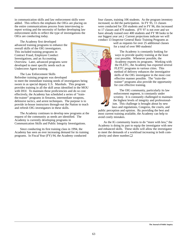in communication skills and law enforcement skills were added. This reflects the emphasis the OIGs are placing on the entire communications process from interviewing to report writing and the necessity of further developing law enforcement skills to reflect the type of investigations the OIGs are conducting today.

The Academy first developed advanced training programs to enhance the overall skills of the OIG investigators. This included training programs in Contract Fraud, Employee Conduct Investigations, and an Accounting Overview. Later, advanced programs were developed to meet specific needs such as Undercover Agent training.

The Law Enforcement Skills Refresher training program was developed to meet the immediate training needs of investigators being sworn in as special deputy U.S. Marshals. This program provides training in all the skill areas identified in the MOU with DOJ. To maintain these proficiencies and do so cost effectively, the Academy has scheduled a series of "trainthe-trainer" programs in firearms, intermediate weapons, defensive tactics, and arrest techniques. The purpose is to provide in-house instructors through-out the Nation to teach and refresh OIG investigators in these skills.

The Academy continues to develop new programs at the request of the community as needs are identified. The Academy is currently developing programs in Communication Skills and Public Integrity Investigations.

Since conducting its first training class in 1994, the Academy has seen an ever increasing demand for its training programs. In Fiscal Year (FY) 94, the Academy conducted

four classes, training 106 students. As the program inventory increased, so did the participation. In FY 95, 11 classes were conducted for 350 students and in FY 96, this increased to 17 classes and 479 students. (FY 97 is not over and we have already trained over 400 students and FY 98 looks to be our biggest year yet.) Current projections indicate we will conduct 13 Inspector General Basic Training Programs as

well as requests for over 25 additional classes for a total of over 900 students!

The Academy is constantly looking for ways to provide quality training at the least cost possible. Whenever possible, the Academy exports its programs. Working with the FLETC, the Academy has exported several FLETC programs to various cities. This method of delivery enhances the investigative skills of the OIG investigator in the most cost effective manner possible. The "train-thetrainer" programs also provide the opportunity for cost effective training.

The OIG community, particularly its law enforcement segment, is constantly under scrutiny. It is constantly challenged to maintain the highest levels of integrity and professionalism. This challenge is brought about by new laws and regulations, Congress, the courts, and

public perception and opinion. By providing the best and most current training available, the Academy can help to avoid costly mistakes.

As the IG community learns to do "more with less," the Academy is doing its part to equip the investigator with new and enhanced skills. These skills will allow the investigator to meet the demands of a workload increasing in both complexity and sheer number.❏

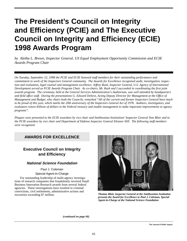# **The President's Council on Integrity and Efficiency (PCIE) and The Executive Council on Integrity and Efficiency (ECIE) 1998 Awards Program**

*by Aletha L. Brown, Inspector General, US Equal Employment Opportunity Commission and ECIE Awards Program Chair*

*On Tuesday, September 22, 1998 the PCIE and ECIE honored staff members for their outstanding performance and commitment to work of the Inspectors General community. The Awards for Excellence recognized audit, investigation, inspection and evaluation, legal counsel and management excellence. Jeffrey Rush, Inspector General, U.S. Agency of International Development served as PCIE Awards Program Chair. As co-chairs, Mr. Rush and I succeeded in coordinating the first joint awards program. The ceremony, held at the General Services Administration's Auditorium, was well attended by headquarters and field office staff. During the presentations G. Edward DeSeve, Acting Deputy Director for Management at the Office of Management and Budget, who chairs both the Councils, remarked "All of the current and former Inspectors General have much to be proud of this year, which marks the 20th anniversary of the Inspectors General Act of 1978. Auditors, investigators, and evaluators return billions of dollars to the Federal treasury and enable management to make important improvements to agency programs".* 

*Plaques were presented to the ECIE awardees by vice chair and Smithsonian Institutions' Inspector General Tom Blair and to the PCIE awardees by vice chair and Department of Defense Inspector General Eleanor Hill. The following staff members were recognized.*

## **AWARDS FOR EXCELLENCE**

## **Executive Council on Integrity and Efficiency**

#### **National Science Foundation**

#### Paul J. Coleman

#### Special Agent-in-Charge

For outstanding leadership of multi-agency investigations of research companies that fraudulently received Small Business Innovation Research awards from several federal agencies. These investigations have resulted in criminal convictions, civil settlements, administrative actions and recoveries exceeding \$7 million.



*Thomas Blair, Inspector General at the Smithsonian Institution presents the Award for Excellence to Paul J. Coleman, Special Agent-in-Charge at the National Science Foundation*

*(continued on page 66)*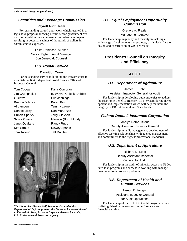#### **Securities and Exchange Commission**

#### **Payroll Audit Team**

For outstanding payroll audit work which resulted in a legislative proposal allowing certain senior government officials to be paid in the same manner as federal employees resulting in potential savings of thousands of dollars in administrative expenses.

> Lolita Robinson, Auditor Nelson Egbert, Audit Manager Jon Jensvold, Counsel

#### **U.S. Postal Service**

#### **Transition Team**

For outstanding service in building the infrastructure to establish the first independent Postal Service Office of Inspector General.

Tom Coogan Karla Corcoran Guentzel Cliff Jennings Brenda Johnson Karen King Al Lamden Tammy Laurent Connie Lilley Nan McKenzie Hubert Sparks Jerry Olexson Janet Qualters **Randy Rupp** Kim Stroud Dewey Sparks Tom Talleur **Jeff Dupilka** 

Jim Crumpacker B. Wayne Goleski Debbie Sylvia Owens Maurice (Bud) Moody



*The Honorable Eleanor Hill, Inspector General at the Department of Defense presents the Career Achievement Award to Kenneth A. Konz, Assistant Inspector General for Audit, U.S. Environmental Protection Agency.*

### **U.S. Equal Employment Opportunity Commission**

Gregory A. Frazier

Management Analyst

For leadership, ingenuity and tenacity in tackling a wide range of assignments and projects, particularly for the design and construction of OIG's website.

## **President's Council on Integrity and Efficiency**

### **AUDIT**

#### **U.S. Department of Agriculture**

James R. Ebbit

Assistant Inspector General for Audit

For leadership in developing audit strategies to address the Electronic Benefits Transfer (EBT) system during development and implementation which will help maintain the integrity of EBT at Federal and State levels.

#### **Federal Deposit Insurance Corporation**

Marilyn Rother Kraus Deputy Assistant Inspector General

For leadership in audit management, development of effective working relationships with agency management, and commitment to the highest professional standards.

## **U.S. Department of Agriculture**

Richard D. Long Deputy Assistant Inspector

General for Audit

For leadership in the audit of minority access to USDA farm loan programs and success in working with management to address program problems.

#### **U.S. Department of Health and Human Services**

Joseph E. Vengrin Assistant Inspector General for Audit Operations

For leadership of the HHS/OIG audit program, which is distinguished by innovations in performance and financial auditing.

**The Journal of Public Inquiry**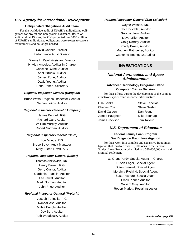#### **U.S. Agency for International Development**

#### **Unliquidated Obligations Audit Team**

For the worldwide audit of USAID's unliquidated obligations for project and non-project assistance. Based on audit work at 19 sites, the OIG projected that \$495 million of USAID's unliquidated obligations were excess to current requirements and no longer needed.

> David Conner, Director, Performance Audit Division

## Dianne L. Rawl, Assistant Director

H. Aida Angeles, Auditor-in-Charge Christine Byrne, Auditor Abel Ortunio, Auditor James Rorie, Auditor David Young, Auditor Elena Prince, Secretary

#### **Regional Inspector General (Bangkok)**

Bruce Watts, Regional Inspector General Nathan Lokos, Auditor

#### **Regional Inspector General (Budapest)**

James Bonnell, RIG Richard Cain, Auditor William Murphy, Auditor Robert Norman, Auditor

#### **Regional Inspector General (Cairo)**

Lou Mundy, RIG Bruce Boyer, Audit Manager Mary Eileen Devitt, AIC

#### **Regional Inspector General (Dakar)**

Thomas Anklewich, RIG Henry Barrett, RIG Gerry Custor, Auditor Gardenia Franklin, Auditor Lee Jewell, Auditor Mark Norman, Auditor John Phee, Auditor

#### **Regional Inspector General (Pretoria)**

Joseph Farinella, RIG Randall Ase, Auditor Mable Pangle, Auditor Dev Sen, Auditor Ruth Woodcock, Auditor

#### **Regional Inspector General (San Salvador)**

Wayne Watson, RIG Phil Horschler, Auditor George Jiron, Auditor Lloyd Miller, Auditor Craig Nordby, Auditor Cindy Pruett, Auditor Matthew Rathgeber, Auditor Catherine Rodriguez, Auditor

## **INVESTIGATIONS**

#### **National Aeronautics and Space Administration**

#### **Advanced Technology Programs Office Computer Crimes Division**

For their efforts during the development of the computer/network cyber fraud response infrastructure.

| Lisa Banks     | <b>Steve Kapellas</b> |
|----------------|-----------------------|
| Charles Coe    | <b>Steve Nesbitt</b>  |
| David Carson   | Dan Ridge             |
| James Haughton | Mike Sonntag          |
| James Jackson  | <b>Tom Talleur</b>    |

#### **U.S. Department of Education**

#### **Federal Family Loan Program Due Diligence Fraud Investigation**

For their work in a complex and expansive fraud investigation that involved over 15,000 loans in the Federal Student Loan Program which led to a \$30,000,000 civil and criminal settlement.

> W. Grant Purdy, Special Agent-in-Charge Susan Eager, Special Agent Glenn Stewart, Special Agent Moraima Ryskind, Special Agent Susan Vanore, Special Agent Frank Pinner, Auditor William Gray, Auditor Robert Marlett, Postal Inspector

> > *(continued on page 68)*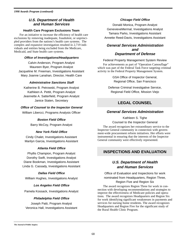#### **U.S. Department of Health and Human Services**

#### **Health Care Program Exclusions Team**

For an initiative to increase the efficiency of health care exclusions by removing inadequate, fraudulent, or unprincipled providers from the nations's health care systems. The complex and expansive investigation resulted in 2,719 individuals and entities being excluded from the Medicare, Medicaid, and State health care systems.

#### **Office of Investigations/Headquarters**

Calvin Anderson, Program Analyst Maureen Byer, Program Analyst Jacqueline M. Freeman, Investigations Assistant Mary Joanne Lanahan, Director, Health Care

#### **Administrative Sanctions Staff**

Katherine B. Petrowski, Program Analyst Kathleen A. Pettit, Program Analyst Jeannette A. Satterfield, Program Analyst Janice Staten, Secretary

#### **Office of Counsel to the Inspector General**

William Libercci, Programs Analysis Officer

#### **Boston Field Office**

Barry McCoy, Program Analyst

#### **New York Field Office**

Cindy Chalet, Investigations Assistant Marilyn Garcia, Investigations Assistant

#### **Atlanta Field Office**

Phyllis Champion, Program Analyst Dorothy Swift, Investigations Analyst Diane Bookman, Investigations Assistant Linda G. Cassady, Investigations Assistant

#### **Dallas Field Office**

William Hughes, Investigations Analyst

#### **Los Angeles Field Office**

Pamela Kossack, Investigations Analyst

#### **Philadelphia Field Office**

Joseph Patti, Program Analyst Veronica Hall, Investigations Assistant

#### **Chicago Field Office**

Donald Monica, Program Analyst GenevieveMermal, Investigations Analyst Tamara Parks, Investigations Assistant Annette Reed-Davis, Investigations Assistant

#### **General Services Administration and Department of Defense**

#### Federal Property Management System Review

For achievements as part of "Operation Camouflage" which was part of the Federal Task Force targeting criminal activity in the Federal Property Management System.

> GSA Office of Inspector General, Regional Office, San Francisco

Defense Criminal Investigative Service, Regional Field Office, Mission Viejo

## **LEGAL COUNSEL**

#### **General Services Administration**

Kathleen S. Tighe Counsel to the Inspector General

The award recognizes her extraordinary service to the Inspector General community in connection with government-wide procurement reform initiatives. Her efforts were instrumental in ensuring that the interests of the Inspector General community were effectively represented.

#### **INSPECTIONS AND EVALUATION**

### **U.S. Department of Health and Human Services**

Office of Evaluation and Inspections for work nominated from Headquarters, Region Three, Region Five and Region Six

The award recognizes Region Three for work in connection with developing recommendations and strategies to improve the effectiveness of Medicare policies and operations. The award recognizes Headquarters and Region Six for work identifying significant weaknesses in payments and services for nursing home residents. The award recognizes Headquarters and Region Five for the significant study of the Rural Health Clinic Program.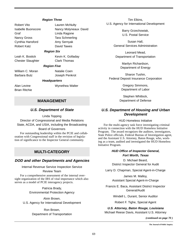#### **Region Three**

Robert Vito Lauren McNulty Graf **Contract Contract Contract Contract Contract Contract Contract Contract Contract Contract Contract Contract Contract Contract Contract Contract Contract Contract Contract Contract Contract Contract Contract Contract** Nancy Gross Tara Schmerling Cynthia Hansford Amy Sernyak Robert Katz David Tawes

Chester Slaughter Clark Thomas

William C. Moran Natalie Coen Barbara Butz Joseph Penkrot

Brian Ritchie

Isabelle Buonocore Nancy Molyneaux David

#### **Region Six**

Leah K. Bostick Kevin K. Golladay

#### **Region Five**

#### **Headquarters**

Alan Levine **Wynethea Walter** 

#### Tim Elkins, U.S. Agency for International Development

Barry Grzechowiak, U.S. Postal Service

Susan Hall, General Services Administration

Leonard Mead, Department of Transportation

> Marilyn Richardson, Department of Energy

Sharon Tushin, Federal Deposit Insurance Corporation

> Gregory Simmons, Department of Labor

Stephen Whitlock, Department of Defense

#### **U.S. Department of Housing and Urban Development**

#### HUD Homeless Initiative

For the multi-agency task force investigating criminal activity in connection with the HUD Homeless Initiative Program. The award recognizes the auditors, investigators, State Police officials, Federal Bureau of Investigation agent, and the Assistant U.S. Attorney, Baton Rouge, who, working as a team, audited and investigated the HUD Homeless Initiative Program.

#### **HUD Office of Inspector General, Fort Worth, Texas**

D. Michael Beard, District Inspector General for Audit

Larry D. Chapman, Special Agent-in-Charge

James M. Malloy, Assistant Special Agent-in-Charge

Francis E. Baca, Assistant District Inspector General/Audit

Windell L. Durant, Senior Auditor

Robert F. Tighe, Special Agent

**U.S. Attorney, Baton Rouge, Louisiana** Michael Reese Davis, Assistant U.S. Attorney

*(continued on page 70 )*

# **MANAGEMENT**

#### **U.S. Department of State**

Linda Topping Director of Congressional and Media Relations State, ACDA, and USIA, including the Broadcasting Board of Governors

For outstanding leadership within the PCIE and collaboration with Congressional staff in the revision of legislation of significance to the Inspector General community.

## **MULTI-CATEGORY**

#### **DOD and other Departments and Agencies**

#### Internal Revenue Service Inspection Service

Review Team

For a comprehensive assessment of the internal oversight organization of the IRS of vital importance which also serves as a model of PCIE interagency projects.

> Patricia Brady, Environmental Protection Agency

Alvin Brown, U.S. Agency for International Development

> Ron Brown, Department of Transportation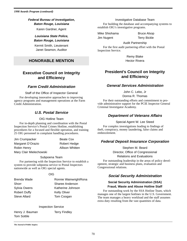#### **Federal Bureau of Investigation,**

**Baton Rouge, Louisiana**

Karen Gardner, Agent

#### **Louisiana State Police, Baton Rouge, Louisiana**

Kermit Smith, Lieutenant Janet Seamon, Auditor

## **HONORABLE MENTION**

## **Executive Council on Integrity and Efficiency**

#### **Farm Credit Administration**

Staff of the Office of Inspector General

For developing innovative approaches to improving agency programs and management operations at the Farm Credit Administration.

### **U.S. Postal Service**

#### OIG Hotline Team

For in-depth planning and coordination with the Postal Inspection Service's Postal Crimes Hotline, establishing procedures for a focused and flexible operation, and training 25 OIG personnel in complaint handling procedures.

| Jim Crumpacker          | Beate Cox       |
|-------------------------|-----------------|
| Margaret D'Orazio       | Robert Hedge    |
| Robin Henry             | Allison Whitten |
| Mary Clair Mielechowski |                 |

#### Subpoena Team

For partnering with the Inspection Service to establish a system to provide subpoena service to Postal Inspectors nationwide as well as OIG special agents.

#### OIG

| Brenda Wade         | Ronnie WainwrightRona |
|---------------------|-----------------------|
| Shorr               | Sharee Anderson       |
| Sylvia Owens        | Katherine Johnson     |
| <b>Robert Duffy</b> | <b>Kelly Oliver</b>   |
| Steve Allard        | Tom Coogan            |

#### Inspection Service

Henry J. Bauman Terry Findley Tom Sottile

#### Investigative Database Team

For building the database and accompanying systems to establish OIG's investigative programs.

Mike Shiohama Bruce Alsop

Jim Nugent Terry Bickle

Audit Partnership

For the first audit partnering effort with the Postal Inspection Service.

> Remy Blake Hector Rivera

## **President's Council on Integrity and Efficiency**

#### **General Services Administration**

John C. Lebo, Jr

Donna R. Thomas

For their outstanding efforts and commitment to provide administrative support for the PCIE Inspector General Criminal Investigator Academy.

#### **Department of Veterans Affairs**

#### Special Agent W. Lee Steed

For complex investigations leading to findings of theft, conspiracy, money laundering, false claims and embezzlement.

#### **Federal Deposit Insurance Corporation**

#### Stephen M. Beard

Director, Office of Congressional

#### Relations and Evaluations

For outstanding leadership in the areas of policy development, strategic and business plans, evaluation and Congressional relations.

#### **Social Security Administration**

#### **Social Security Administration (SSA) Fraud, Waste and Abuse Hotline Staff**

For outstanding work by the SSA Hotline Team, which manages one of the largest hotlines in the U.S. Government. The team manages a heavy workload and the staff assumes extra duty resulting from the vast quantities of data.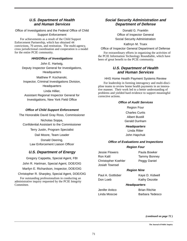#### **U.S. Department of Health and Human Services**

Office of Investigations and the Federal Office of Child

Support Enforcement

For achievements as a result of the Child Support Enforcement Partnership, which has obtained 44 convictions, 70 arrests, and restitution. The multi-agency, cross jurisdictional coordination and cooperation is a model for the entire PCIE community.

#### **HHS/Office of Investigations**

John E. Hartwig, Deputy Inspector General for Investigations, **Headquarters** 

Matthew P. Kochanski, Inspector, Criminal Investigations Division, **Headquarters** 

Linda Hillier, Assistant Regional Inspector General for Investigations, New York Field Office

#### **Office of Child Support Enforcement**

The Honorable David Gray Ross, Commissioner

Nicholas Soppa, Confidential Assistant to the Commissioner Terry Justin, Program Specialist Dail Moore, Team Leader Donald Deering, Law Enforcement Liaison Officer

#### **U.S. Department of Energy**

Gregory Cappetta, Special Agent, FBI John R. Hartman, Special Agent, DOE/OIG Marilyn E. Richardson, Inspector, DOE/OIG

Christopher R. Sharpley, Special Agent, DOE/OIG For outstanding professionalism in conducting an administrative inquiry requested by the PCIE Integrity

Committee.

#### **Social Security Administration and Department of Defense**

Donald G. Franklin Office of Inspector General Social Security Administration

Kathryn M. Truex

Office of Inspector General Department of Defense

For extraordinary efforts in organizing the activities of the PCIE Information Technology Roundtable, which have been of great benefit to the PCIE community.

#### **U.S. Department of Health and Human Services**

#### HHS Home Health Payment Systems Review

For leadership in forming interagency and multi-discipline teams to review home health payments in an innovative manner. Their work led to a better understanding of problems and yielded hard evidence to support meaningful corrective actions.

#### **Office of Audit Services**

Region Four Charles Curtis Albert Bustill Gerald Dunham

**Headquarters** Linda Ritter John Hapchuk

#### **Office of Evaluations and Inspections**

#### **Region Four**

Jessie Flowers **Paula Bowker** Ron Kalil **Tammy Bonney** Christopher Koehler Peggy Daniel Josiah Townsel

#### **Region Nine**

Paul A. Gottlober Kaye D. Kidwell Don Loeb Kathy Dezotte

#### **Headquarters**

Jenifer Anitco Brian Ritchie Linda Moscoe Barbara Tedesco

*(continued on page 72 )*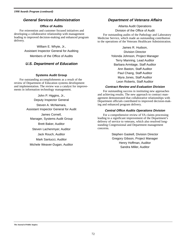#### **General Services Administration**

#### **Office of Audits**

For reinvention and customer focused initiatives and developing a collaborative relationship with management leading to improved decision-making and enhanced program delivery.

> William E. Whyte, Jr., Assistant Inspector General for Auditing Members of the Office of Audits

#### **U.S. Department of Education**

#### **Systems Audit Group**

For outstanding accomplishments as a result of the review of Department of Education systems development and implementation. The review was a catalyst for improvements in information technology management.

> John P. Higgins, Jr., Deputy Inspector General

Steven A. McNamara, Assistant Inspector General for Audit

James Cornell, Manager, Systems Audit Group Brett Baker, Auditor Steven Lachenmyer, Auditor Jack Rouch, Auditor Mark Santucci, Auditor Michele Weaver-Dugan, Auditor

#### **Department of Veterans Affairs**

Atlanta Audit Operations Division of the Office of Audit

For outstanding audits of the Pathology and Laboratory Medicine Service, which made an outstanding contribution to the operations of the Veterans Healthcare Administration.

> James R. Hudson, Division Director Yolonda Johnson, Project Manager Terry Manning, Lead Auditor Barbara Armitage, Staff Auditor Ann Baston, Staff Auditor Paul Chang, Staff Auditor Myra Jones, Staff Auditor Leon Roberts, Staff Auditor

#### **Contract Review and Evaluation Division**

For outstanding success in instituting new approaches and achieving results. The new approach to contract management demonstrated that collaborative relationships with Department officials contributed to improved decision-making and enhanced program delivery.

#### **Central Office Audits Operations Division**

For a comprehensive review of VA claims processing leading to a significant improvement of the Department's delivery of service to veterans, which also resolved longstanding Congressional and Department management concerns.

> Stephen Gaskell, Division Director Gregory Gibson, Project Manager Henry Hoffman, Auditor Sandra Miller, Auditor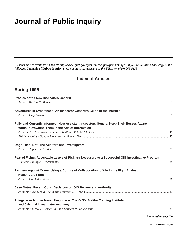# **Journal of Public Inquiry**

*All journals are available on IGnet: http://www.ignet.gov/ignet/internal/pcie/pcie.html#gri. If you would like a hard copy of the following* **Journals of Public Inquiry,** *please contact the Assistant to the Editor on (410) 966-9135:*

## **Index of Articles**

## **Spring 1995**

| Profiles of the New Inspectors General                                                                                                    |                        |
|-------------------------------------------------------------------------------------------------------------------------------------------|------------------------|
|                                                                                                                                           |                        |
| Adventures in Cyberspace: An Inspector General's Guide to the Internet                                                                    |                        |
|                                                                                                                                           |                        |
| Fully and Currently Informed: How Assistant Inspectors General Keep Their Bosses Aware<br>Without Drowning Them in the Age of Information |                        |
|                                                                                                                                           |                        |
|                                                                                                                                           |                        |
| Dogs That Hunt: The Auditors and Investigators                                                                                            |                        |
|                                                                                                                                           |                        |
| Fear of Flying: Acceptable Levels of Risk are Necessary to a Successful OIG Investigative Program                                         |                        |
| Partners Against Crime: Using a Culture of Collaboration to Win in the Fight Against<br><b>Health Care Fraud</b>                          |                        |
|                                                                                                                                           |                        |
| Case Notes: Recent Court Decisions on OIG Powers and Authority                                                                            |                        |
|                                                                                                                                           |                        |
| Things Your Mother Never Taught You: The OIG's Auditor Training Institute<br>and Criminal Investigator Academy                            |                        |
|                                                                                                                                           |                        |
|                                                                                                                                           | (continued on page 74) |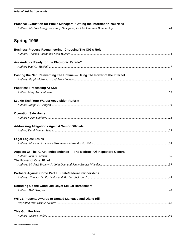|  |  | <b>Index of Articles (continued)</b> |
|--|--|--------------------------------------|
|--|--|--------------------------------------|

| Practical Evaluation for Public Managers: Getting the Information You Need |  |
|----------------------------------------------------------------------------|--|
| <b>Spring 1996</b>                                                         |  |
|                                                                            |  |
| <b>Business Process Reengineering: Choosing The OIG's Role</b>             |  |
| Are Auditors Ready for the Electronic Parade?                              |  |
|                                                                            |  |
| Casting the Net: Reinventing The Hotline - Using The Power of the Internet |  |
| <b>Paperless Processing At SSA</b>                                         |  |
|                                                                            |  |
|                                                                            |  |
| Let Me Task Your Wares: Acquisition Reform                                 |  |
|                                                                            |  |
| <b>Operation Safe Home</b>                                                 |  |
|                                                                            |  |
| <b>Addressing Allegations Against Senior Officials</b>                     |  |
|                                                                            |  |
|                                                                            |  |
| <b>Legal Eagles: Ethics</b>                                                |  |
|                                                                            |  |
| Aspects Of The IG Act: Independence - The Bedrock Of Inspectors General    |  |
| The Power of One: IGnet                                                    |  |
|                                                                            |  |
|                                                                            |  |
| Partners Against Crime Part II: State/Federal Partnerships                 |  |
|                                                                            |  |
| Rounding Up the Good Old Boys: Sexual Harassment                           |  |
|                                                                            |  |
| <b>WIFLE Presents Awards to Donald Mancuso and Diane Hill</b>              |  |
|                                                                            |  |
|                                                                            |  |
| <b>This Gun For Hire</b>                                                   |  |
|                                                                            |  |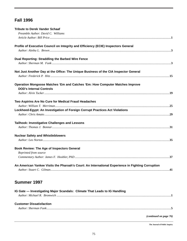## **Fall 1996**

| <b>Tribute to Derek Vander Schaaf</b>                                                             |  |
|---------------------------------------------------------------------------------------------------|--|
| Preamble Author: David C. Williams                                                                |  |
|                                                                                                   |  |
| Profile of Executive Council on Integrity and Efficiency (ECIE) Inspectors General                |  |
|                                                                                                   |  |
| Dual Reporting: Straddling the Barbed Wire Fence                                                  |  |
|                                                                                                   |  |
| Not Just Another Day at the Office: The Unique Business of the CIA Inspector General              |  |
|                                                                                                   |  |
| Operation Mongoose Matches 'Em and Catches 'Em: How Computer Matches Improve                      |  |
| <b>DOD's Internal Controls</b>                                                                    |  |
|                                                                                                   |  |
| Two Aspirins Are No Cure for Medical Fraud Headaches                                              |  |
|                                                                                                   |  |
| Lockheed-Egypt: An Investigation of Foreign Corrupt Practices Act Violations                      |  |
|                                                                                                   |  |
| Tailhook: Investigative Challenges and Lessons                                                    |  |
|                                                                                                   |  |
| <b>Nuclear Safety and Whistleblowers</b>                                                          |  |
|                                                                                                   |  |
| Book Review: The Age of Inspectors General                                                        |  |
| Reprinted from source                                                                             |  |
|                                                                                                   |  |
| An American Yankee Visits the Pharoah's Court: An International Experience in Fighting Corruption |  |
|                                                                                                   |  |
|                                                                                                   |  |

## **Summer 1997**

| IG Gate - Investigating Major Scandals: Climate That Leads to IG Handling |  |
|---------------------------------------------------------------------------|--|
|                                                                           |  |
| <b>Customer Dissatisfaction</b>                                           |  |
|                                                                           |  |
| (continued on page 76)                                                    |  |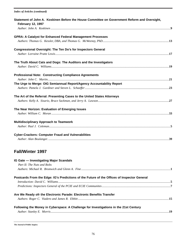| <b>Index of Articles (continued)</b>                                                                                     |  |
|--------------------------------------------------------------------------------------------------------------------------|--|
| Statement of John A. Koskinen Before the House Committee on Government Reform and Oversight,<br><b>February 12, 1997</b> |  |
|                                                                                                                          |  |
| <b>GPRA: A Catalyst for Enhanced Federal Management Processes</b>                                                        |  |
|                                                                                                                          |  |
|                                                                                                                          |  |
| Congressional Oversight: The Ten Do's for Inspectors General                                                             |  |
|                                                                                                                          |  |
| The Truth About Cats and Dogs: The Auditors and the Investigators                                                        |  |
|                                                                                                                          |  |
| <b>Professional Note: Constructing Compliance Agreements</b>                                                             |  |
|                                                                                                                          |  |
| The Urge to Merge: OIG Semiannual Report/Agency Accountability Report                                                    |  |
|                                                                                                                          |  |
| The Art of the Referral: Presenting Cases to the United States Attorneys                                                 |  |
|                                                                                                                          |  |
|                                                                                                                          |  |
| The Near Horizon: Evaluation of Emerging Issues                                                                          |  |
|                                                                                                                          |  |
| <b>Multidisciplinary Approach to Teamwork</b>                                                                            |  |
|                                                                                                                          |  |
| <b>Cyber-Crackers: Computer Fraud and Vulnerabilities</b>                                                                |  |
|                                                                                                                          |  |
|                                                                                                                          |  |
| Fall/Winter 1997                                                                                                         |  |
| IG Gate - Investigating Major Scandals                                                                                   |  |
| Part II: The Nuts and Bolts                                                                                              |  |
|                                                                                                                          |  |
|                                                                                                                          |  |
| Postcards From the Edge: IG's Predictions of the Future of the Offices of Inspector General                              |  |
|                                                                                                                          |  |
|                                                                                                                          |  |
| Are We Ready ofr the Electronic Parade: Electronic Benefits Transfer                                                     |  |

## *Authors: Roger C. Viadero and James R. Ebbitt .......................................................................................................................***15**

#### **Following the Money in Cyberspace: A Challenge for Investigations in the 21st Century** *Author: Stanley E. Morris*...........................................................................................................................................................**19**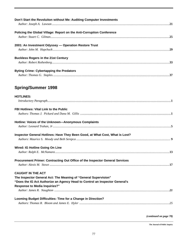| Don't Start the Revoluiton without Me: Auditing Computer Investments                                                                                                                                               |
|--------------------------------------------------------------------------------------------------------------------------------------------------------------------------------------------------------------------|
| Policing the Global Village: Report on the Anti-Corruption Conference                                                                                                                                              |
| 2001: An Investment Odyssey - Operation Restore Trust                                                                                                                                                              |
| <b>Buckless Rogers in the 21st Century</b>                                                                                                                                                                         |
| <b>Byting Crime: Cybertapping the Predators</b>                                                                                                                                                                    |
| <b>Spring/Summer 1998</b>                                                                                                                                                                                          |
| <b>HOTLINES:</b>                                                                                                                                                                                                   |
|                                                                                                                                                                                                                    |
| FBI Hotlines: Vital Link to the Public                                                                                                                                                                             |
| Hotline: Voices of the Unknown-Anonymous Complaints                                                                                                                                                                |
| Inspector General Hotlines: Have They Been Good, at What Cost, What is Lost?                                                                                                                                       |
| Wired: IG Hotline Going On Line                                                                                                                                                                                    |
| 13                                                                                                                                                                                                                 |
| Procurement Primer: Contracting Out Office of the Inspector General Services                                                                                                                                       |
| <b>CAUGHT IN THE ACT</b><br>The Inspector General Act: The Meaning of "General Supervision"<br>"Does the IG Act Authorize an Agency Head to Control an Inspector General's<br><b>Response to Media Inquiries?"</b> |
| Looming Budget Difficulties: Time for a Change in Direction?                                                                                                                                                       |

*(continued on page 78)*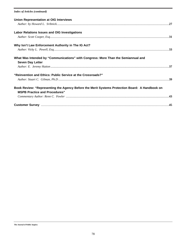#### *Index of Articles (continued)*

| <b>Union Representation at OIG Interviews</b>                                                                                          |  |
|----------------------------------------------------------------------------------------------------------------------------------------|--|
| <b>Labor Relations Issues and OIG Investigations</b>                                                                                   |  |
| Why Isn't Law Enforcement Authority in The IG Act?                                                                                     |  |
| What Was Intended by "Communications" with Congress: More Than the Semiannual and<br><b>Seven Day Letter</b>                           |  |
| "Reinvention and Ethics: Public Service at the Crossroads?"                                                                            |  |
| Book Review: "Representing the Agency Before the Merit Systems Protection Board: A Handbook on<br><b>MSPB Practice and Procedures"</b> |  |
|                                                                                                                                        |  |